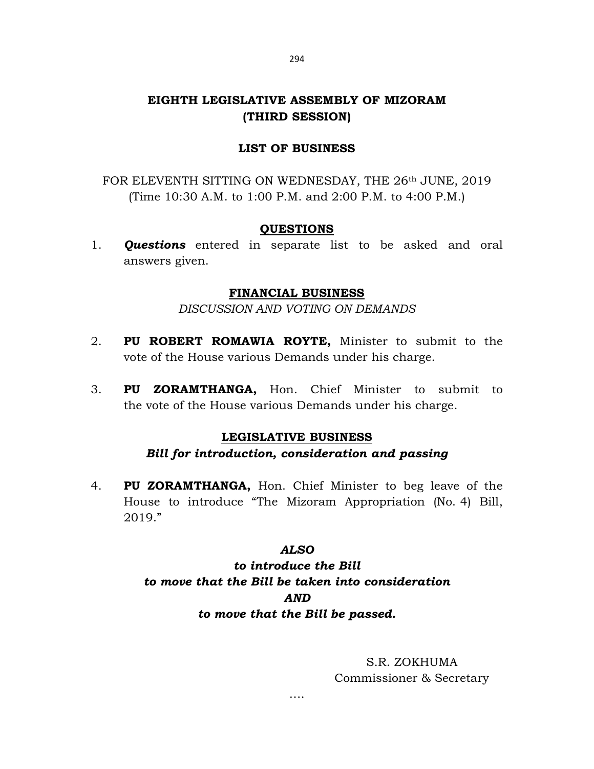# EIGHTH LEGISLATIVE ASSEMBLY OF MIZORAM (THIRD SESSION)

### LIST OF BUSINESS

FOR ELEVENTH SITTING ON WEDNESDAY, THE 26<sup>th</sup> JUNE, 2019 (Time 10:30 A.M. to 1:00 P.M. and 2:00 P.M. to 4:00 P.M.)

#### **QUESTIONS**

1. **Questions** entered in separate list to be asked and oral answers given.

#### FINANCIAL BUSINESS

DISCUSSION AND VOTING ON DEMANDS

- 2. PU ROBERT ROMAWIA ROYTE, Minister to submit to the vote of the House various Demands under his charge.
- 3. PU ZORAMTHANGA, Hon. Chief Minister to submit to the vote of the House various Demands under his charge.

#### LEGISLATIVE BUSINESS

### Bill for introduction, consideration and passing

4. PU ZORAMTHANGA, Hon. Chief Minister to beg leave of the House to introduce "The Mizoram Appropriation (No. 4) Bill, 2019."

### ALSO

to introduce the Bill to move that the Bill be taken into consideration AND to move that the Bill be passed.

> S.R. ZOKHUMA Commissioner & Secretary

….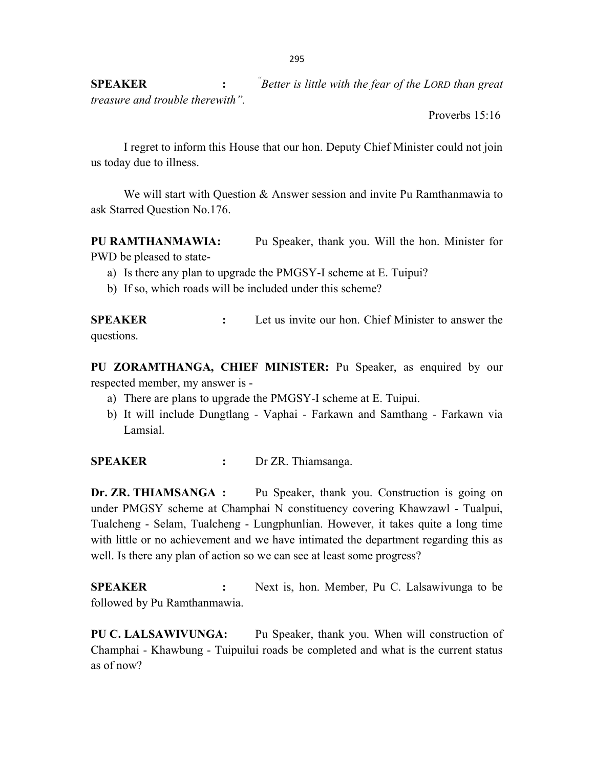SPEAKER : Better is little with the fear of the LORD than great treasure and trouble therewith".

Proverbs 15:16

 I regret to inform this House that our hon. Deputy Chief Minister could not join us today due to illness.

We will start with Question & Answer session and invite Pu Ramthanmawia to ask Starred Question No.176.

PU RAMTHANMAWIA: Pu Speaker, thank you. Will the hon. Minister for PWD be pleased to state-

- a) Is there any plan to upgrade the PMGSY-I scheme at E. Tuipui?
- b) If so, which roads will be included under this scheme?

SPEAKER : Let us invite our hon. Chief Minister to answer the questions.

PU ZORAMTHANGA, CHIEF MINISTER: Pu Speaker, as enquired by our respected member, my answer is -

- a) There are plans to upgrade the PMGSY-I scheme at E. Tuipui.
- b) It will include Dungtlang Vaphai Farkawn and Samthang Farkawn via Lamsial.

SPEAKER : Dr ZR. Thiamsanga.

Dr. ZR. THIAMSANGA : Pu Speaker, thank you. Construction is going on under PMGSY scheme at Champhai N constituency covering Khawzawl - Tualpui, Tualcheng - Selam, Tualcheng - Lungphunlian. However, it takes quite a long time with little or no achievement and we have intimated the department regarding this as well. Is there any plan of action so we can see at least some progress?

SPEAKER : Next is, hon. Member, Pu C. Lalsawivunga to be followed by Pu Ramthanmawia.

PU C. LALSAWIVUNGA: Pu Speaker, thank you. When will construction of Champhai - Khawbung - Tuipuilui roads be completed and what is the current status as of now?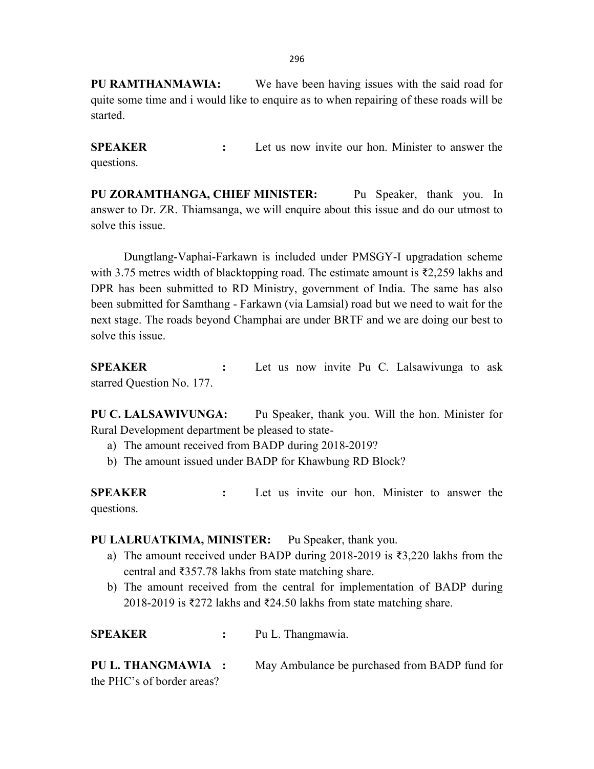PU RAMTHANMAWIA: We have been having issues with the said road for quite some time and i would like to enquire as to when repairing of these roads will be started.

SPEAKER : Let us now invite our hon. Minister to answer the questions.

PU ZORAMTHANGA, CHIEF MINISTER: Pu Speaker, thank you. In answer to Dr. ZR. Thiamsanga, we will enquire about this issue and do our utmost to solve this issue.

 Dungtlang-Vaphai-Farkawn is included under PMSGY-I upgradation scheme with 3.75 metres width of blacktopping road. The estimate amount is  $\overline{\xi}$ 2.259 lakhs and DPR has been submitted to RD Ministry, government of India. The same has also been submitted for Samthang - Farkawn (via Lamsial) road but we need to wait for the next stage. The roads beyond Champhai are under BRTF and we are doing our best to solve this issue.

SPEAKER : Let us now invite Pu C. Lalsawivunga to ask starred Question No. 177.

PU C. LALSAWIVUNGA: Pu Speaker, thank you. Will the hon. Minister for Rural Development department be pleased to state-

- a) The amount received from BADP during 2018-2019?
- b) The amount issued under BADP for Khawbung RD Block?

SPEAKER : Let us invite our hon. Minister to answer the questions.

# PU LALRUATKIMA, MINISTER: Pu Speaker, thank you.

- a) The amount received under BADP during 2018-2019 is ₹3,220 lakhs from the central and ₹357.78 lakhs from state matching share.
- b) The amount received from the central for implementation of BADP during 2018-2019 is ₹272 lakhs and ₹24.50 lakhs from state matching share.

SPEAKER : Pu L. Thangmawia.

| PU L. THANGMAWIA :         | May Ambulance be purchased from BADP fund for |
|----------------------------|-----------------------------------------------|
| the PHC's of border areas? |                                               |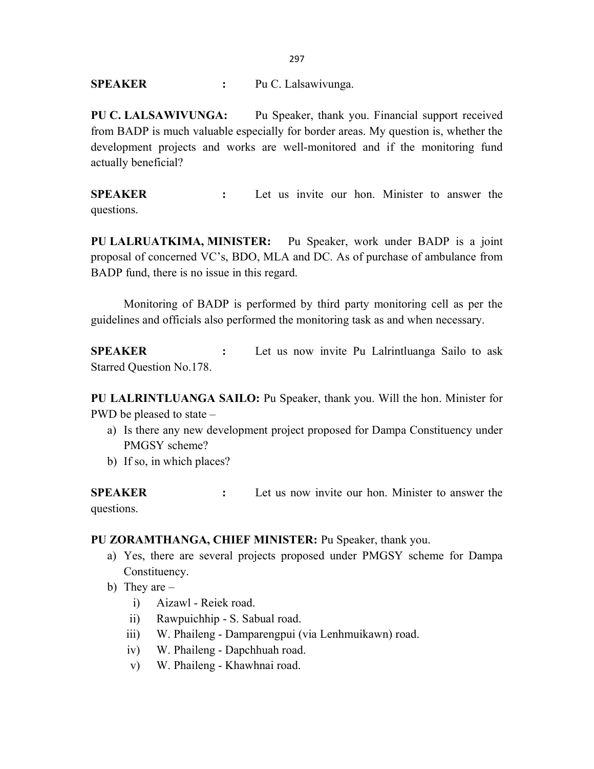### SPEAKER : Pu C. Lalsawivunga.

PU C. LALSAWIVUNGA: Pu Speaker, thank you. Financial support received from BADP is much valuable especially for border areas. My question is, whether the development projects and works are well-monitored and if the monitoring fund actually beneficial?

SPEAKER : Let us invite our hon. Minister to answer the questions.

PU LALRUATKIMA, MINISTER: Pu Speaker, work under BADP is a joint proposal of concerned VC's, BDO, MLA and DC. As of purchase of ambulance from BADP fund, there is no issue in this regard.

 Monitoring of BADP is performed by third party monitoring cell as per the guidelines and officials also performed the monitoring task as and when necessary.

SPEAKER : Let us now invite Pu Lalrintluanga Sailo to ask Starred Question No.178.

PU LALRINTLUANGA SAILO: Pu Speaker, thank you. Will the hon. Minister for PWD be pleased to state –

- a) Is there any new development project proposed for Dampa Constituency under PMGSY scheme?
- b) If so, in which places?

SPEAKER : Let us now invite our hon. Minister to answer the questions.

### PU ZORAMTHANGA, CHIEF MINISTER: Pu Speaker, thank you.

- a) Yes, there are several projects proposed under PMGSY scheme for Dampa Constituency.
- b) They are
	- i) Aizawl Reiek road.
	- ii) Rawpuichhip S. Sabual road.
	- iii) W. Phaileng Damparengpui (via Lenhmuikawn) road.
	- iv) W. Phaileng Dapchhuah road.
	- v) W. Phaileng Khawhnai road.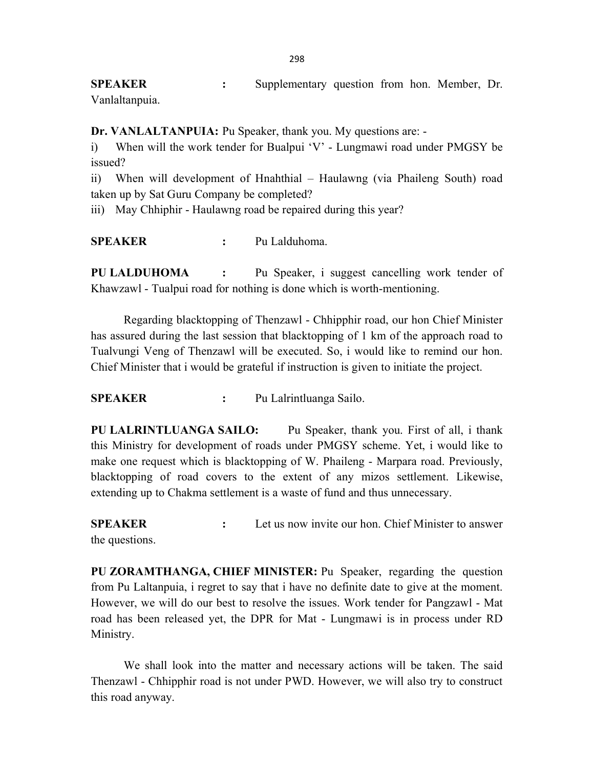SPEAKER : Supplementary question from hon. Member, Dr. Vanlaltanpuia.

Dr. VANLALTANPUIA: Pu Speaker, thank you. My questions are: -

i) When will the work tender for Bualpui 'V' - Lungmawi road under PMGSY be issued?

ii) When will development of Hnahthial – Haulawng (via Phaileng South) road taken up by Sat Guru Company be completed?

iii) May Chhiphir - Haulawng road be repaired during this year?

SPEAKER : Pu Lalduhoma.

PU LALDUHOMA : Pu Speaker, i suggest cancelling work tender of Khawzawl - Tualpui road for nothing is done which is worth-mentioning.

 Regarding blacktopping of Thenzawl - Chhipphir road, our hon Chief Minister has assured during the last session that blacktopping of 1 km of the approach road to Tualvungi Veng of Thenzawl will be executed. So, i would like to remind our hon. Chief Minister that i would be grateful if instruction is given to initiate the project.

SPEAKER : Pu Lalrintluanga Sailo.

PU LALRINTLUANGA SAILO: Pu Speaker, thank you. First of all, i thank this Ministry for development of roads under PMGSY scheme. Yet, i would like to make one request which is blacktopping of W. Phaileng - Marpara road. Previously, blacktopping of road covers to the extent of any mizos settlement. Likewise, extending up to Chakma settlement is a waste of fund and thus unnecessary.

SPEAKER : Let us now invite our hon. Chief Minister to answer the questions.

PU ZORAMTHANGA, CHIEF MINISTER: Pu Speaker, regarding the question from Pu Laltanpuia, i regret to say that i have no definite date to give at the moment. However, we will do our best to resolve the issues. Work tender for Pangzawl - Mat road has been released yet, the DPR for Mat - Lungmawi is in process under RD Ministry.

 We shall look into the matter and necessary actions will be taken. The said Thenzawl - Chhipphir road is not under PWD. However, we will also try to construct this road anyway.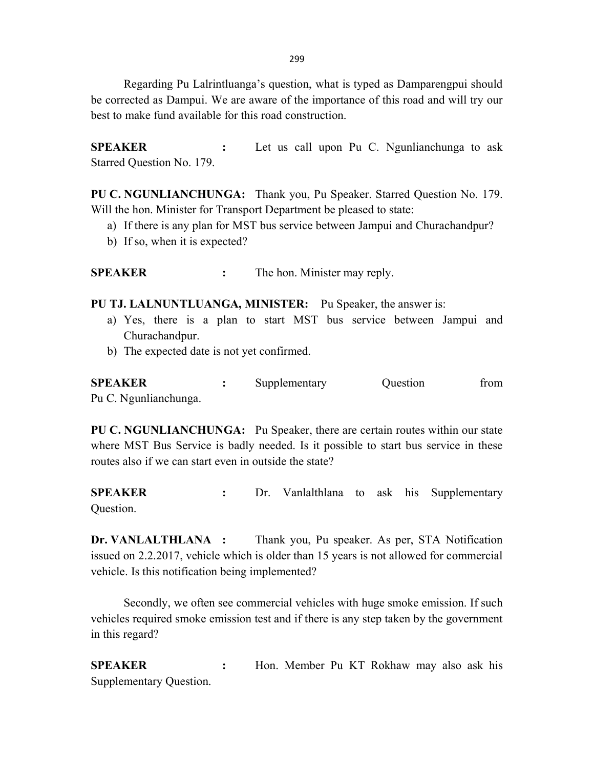299

 Regarding Pu Lalrintluanga's question, what is typed as Damparengpui should be corrected as Dampui. We are aware of the importance of this road and will try our best to make fund available for this road construction.

SPEAKER : Let us call upon Pu C. Ngunlianchunga to ask Starred Question No. 179.

PU C. NGUNLIANCHUNGA: Thank you, Pu Speaker. Starred Question No. 179. Will the hon. Minister for Transport Department be pleased to state:

- a) If there is any plan for MST bus service between Jampui and Churachandpur?
- b) If so, when it is expected?

SPEAKER : The hon. Minister may reply.

PU TJ. LALNUNTLUANGA, MINISTER: Pu Speaker, the answer is:

- a) Yes, there is a plan to start MST bus service between Jampui and Churachandpur.
- b) The expected date is not yet confirmed.

| <b>SPEAKER</b>        | Supplementary | Ouestion | trom |
|-----------------------|---------------|----------|------|
| Pu C. Ngunlianchunga. |               |          |      |

PU C. NGUNLIANCHUNGA: Pu Speaker, there are certain routes within our state where MST Bus Service is badly needed. Is it possible to start bus service in these routes also if we can start even in outside the state?

SPEAKER : Dr. Vanlalthlana to ask his Supplementary Question.

Dr. VANLALTHLANA : Thank you, Pu speaker. As per, STA Notification issued on 2.2.2017, vehicle which is older than 15 years is not allowed for commercial vehicle. Is this notification being implemented?

 Secondly, we often see commercial vehicles with huge smoke emission. If such vehicles required smoke emission test and if there is any step taken by the government in this regard?

SPEAKER : Hon. Member Pu KT Rokhaw may also ask his Supplementary Question.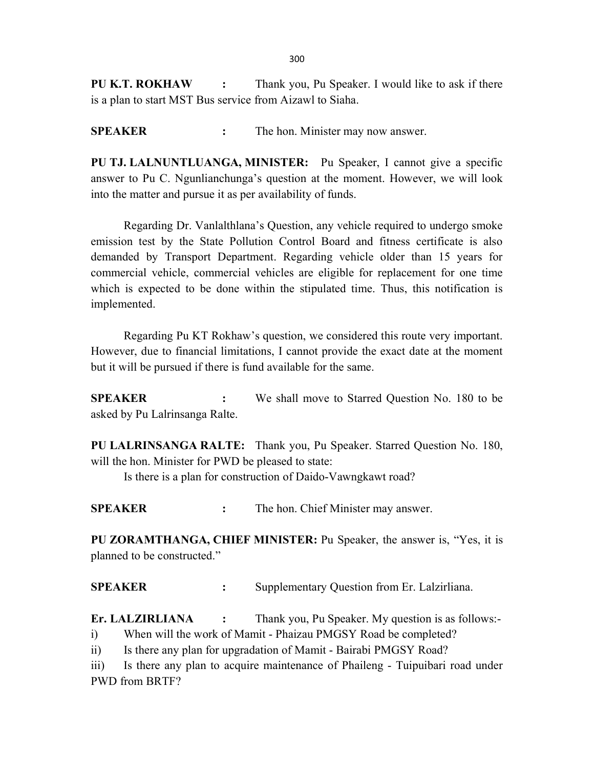PU K.T. ROKHAW : Thank you, Pu Speaker. I would like to ask if there is a plan to start MST Bus service from Aizawl to Siaha.

SPEAKER : The hon. Minister may now answer.

PU TJ. LALNUNTLUANGA, MINISTER: Pu Speaker, I cannot give a specific answer to Pu C. Ngunlianchunga's question at the moment. However, we will look into the matter and pursue it as per availability of funds.

 Regarding Dr. Vanlalthlana's Question, any vehicle required to undergo smoke emission test by the State Pollution Control Board and fitness certificate is also demanded by Transport Department. Regarding vehicle older than 15 years for commercial vehicle, commercial vehicles are eligible for replacement for one time which is expected to be done within the stipulated time. Thus, this notification is implemented.

 Regarding Pu KT Rokhaw's question, we considered this route very important. However, due to financial limitations, I cannot provide the exact date at the moment but it will be pursued if there is fund available for the same.

SPEAKER : We shall move to Starred Question No. 180 to be asked by Pu Lalrinsanga Ralte.

PU LALRINSANGA RALTE: Thank you, Pu Speaker. Starred Question No. 180, will the hon. Minister for PWD be pleased to state:

Is there is a plan for construction of Daido-Vawngkawt road?

SPEAKER : The hon. Chief Minister may answer.

PU ZORAMTHANGA, CHIEF MINISTER: Pu Speaker, the answer is, "Yes, it is planned to be constructed."

SPEAKER : Supplementary Question from Er. Lalzirliana.

Er. LALZIRLIANA : Thank you, Pu Speaker. My question is as follows:-

i) When will the work of Mamit - Phaizau PMGSY Road be completed?

ii) Is there any plan for upgradation of Mamit - Bairabi PMGSY Road?

iii) Is there any plan to acquire maintenance of Phaileng - Tuipuibari road under PWD from BRTF?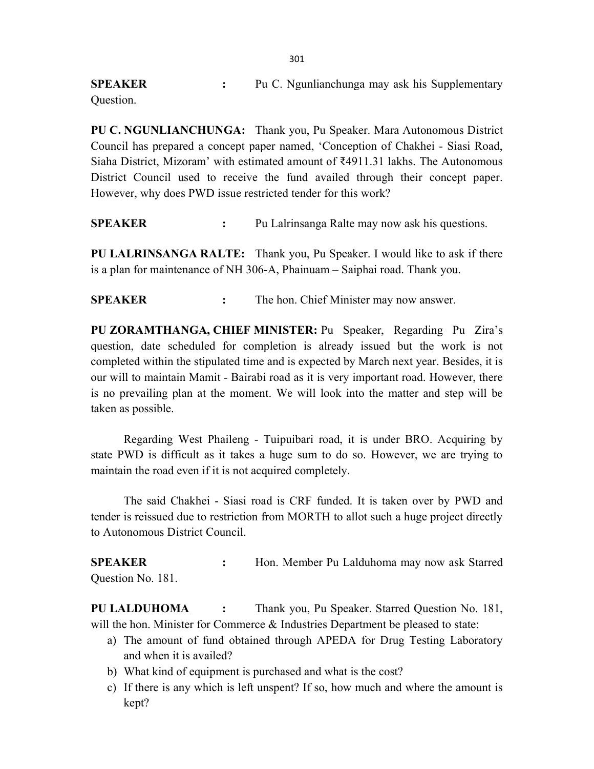SPEAKER : Pu C. Ngunlianchunga may ask his Supplementary Question.

PU C. NGUNLIANCHUNGA: Thank you, Pu Speaker. Mara Autonomous District Council has prepared a concept paper named, 'Conception of Chakhei - Siasi Road, Siaha District, Mizoram' with estimated amount of ₹4911.31 lakhs. The Autonomous District Council used to receive the fund availed through their concept paper. However, why does PWD issue restricted tender for this work?

SPEAKER : Pu Lalrinsanga Ralte may now ask his questions.

PU LALRINSANGA RALTE: Thank you, Pu Speaker. I would like to ask if there is a plan for maintenance of NH 306-A, Phainuam – Saiphai road. Thank you.

SPEAKER : The hon. Chief Minister may now answer.

PU ZORAMTHANGA, CHIEF MINISTER: Pu Speaker, Regarding Pu Zira's question, date scheduled for completion is already issued but the work is not completed within the stipulated time and is expected by March next year. Besides, it is our will to maintain Mamit - Bairabi road as it is very important road. However, there is no prevailing plan at the moment. We will look into the matter and step will be taken as possible.

Regarding West Phaileng - Tuipuibari road, it is under BRO. Acquiring by state PWD is difficult as it takes a huge sum to do so. However, we are trying to maintain the road even if it is not acquired completely.

 The said Chakhei - Siasi road is CRF funded. It is taken over by PWD and tender is reissued due to restriction from MORTH to allot such a huge project directly to Autonomous District Council.

SPEAKER : Hon. Member Pu Lalduhoma may now ask Starred Question No. 181.

PU LALDUHOMA : Thank you, Pu Speaker. Starred Question No. 181, will the hon. Minister for Commerce & Industries Department be pleased to state:

- a) The amount of fund obtained through APEDA for Drug Testing Laboratory and when it is availed?
- b) What kind of equipment is purchased and what is the cost?
- c) If there is any which is left unspent? If so, how much and where the amount is kept?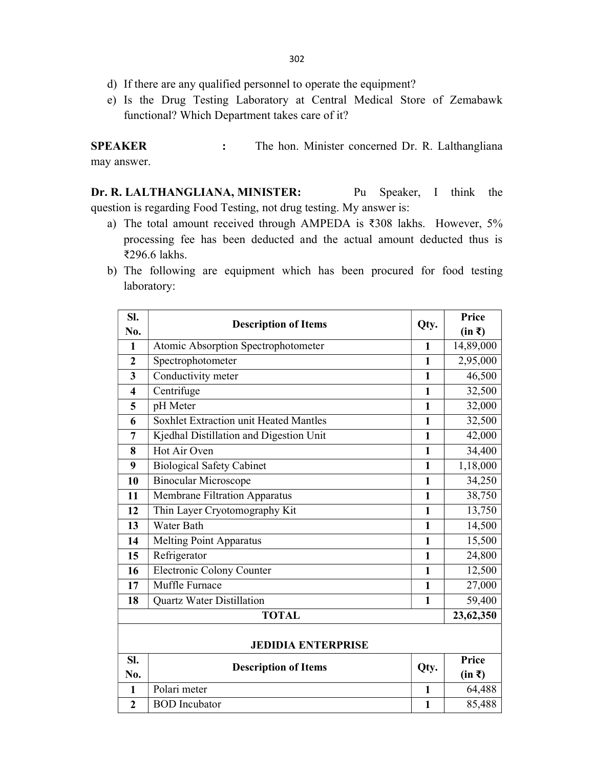- 302
- d) If there are any qualified personnel to operate the equipment?
- e) Is the Drug Testing Laboratory at Central Medical Store of Zemabawk functional? Which Department takes care of it?

SPEAKER : The hon. Minister concerned Dr. R. Lalthangliana may answer.

Dr. R. LALTHANGLIANA, MINISTER: Pu Speaker, I think the question is regarding Food Testing, not drug testing. My answer is:

- a) The total amount received through AMPEDA is ₹308 lakhs. However, 5% processing fee has been deducted and the actual amount deducted thus is ₹296.6 lakhs.
- b) The following are equipment which has been procured for food testing laboratory:

| SI.                       | <b>Description of Items</b>                   |              | Price          |
|---------------------------|-----------------------------------------------|--------------|----------------|
| No.                       |                                               | Qty.         | $(in \bar{z})$ |
| $\mathbf{1}$              | Atomic Absorption Spectrophotometer           | $\mathbf{1}$ | 14,89,000      |
| $\mathbf{2}$              | Spectrophotometer                             | $\mathbf{1}$ | 2,95,000       |
| $\mathbf{3}$              | Conductivity meter                            | $\mathbf{1}$ | 46,500         |
| $\overline{\mathbf{4}}$   | Centrifuge                                    | $\mathbf{1}$ | 32,500         |
| 5                         | pH Meter                                      | 1            | 32,000         |
| 6                         | <b>Soxhlet Extraction unit Heated Mantles</b> | $\mathbf{1}$ | 32,500         |
| $\overline{7}$            | Kjedhal Distillation and Digestion Unit       | $\mathbf{1}$ | 42,000         |
| 8                         | Hot Air Oven                                  | $\mathbf{1}$ | 34,400         |
| 9                         | <b>Biological Safety Cabinet</b>              | $\mathbf{1}$ | 1,18,000       |
| 10                        | <b>Binocular Microscope</b>                   | $\mathbf{1}$ | 34,250         |
| 11                        | Membrane Filtration Apparatus                 | $\mathbf{1}$ | 38,750         |
| 12                        | Thin Layer Cryotomography Kit                 | $\mathbf{1}$ | 13,750         |
| 13                        | Water Bath                                    | $\mathbf{1}$ | 14,500         |
| 14                        | <b>Melting Point Apparatus</b>                | 1            | 15,500         |
| 15                        | Refrigerator                                  | $\mathbf{1}$ | 24,800         |
| 16                        | Electronic Colony Counter                     | $\mathbf{1}$ | 12,500         |
| 17                        | Muffle Furnace                                | $\mathbf{1}$ | 27,000         |
| 18                        | <b>Quartz Water Distillation</b>              | $\mathbf{1}$ | 59,400         |
|                           | <b>TOTAL</b>                                  |              |                |
| <b>JEDIDIA ENTERPRISE</b> |                                               |              |                |
| SI.                       | <b>Description of Items</b>                   | Qty.         | Price          |
| No.                       |                                               |              | $(in \bar{z})$ |
| 1                         | Polari meter                                  | 1            | 64,488         |
| $\overline{2}$            | <b>BOD</b> Incubator                          | $\mathbf{1}$ | 85,488         |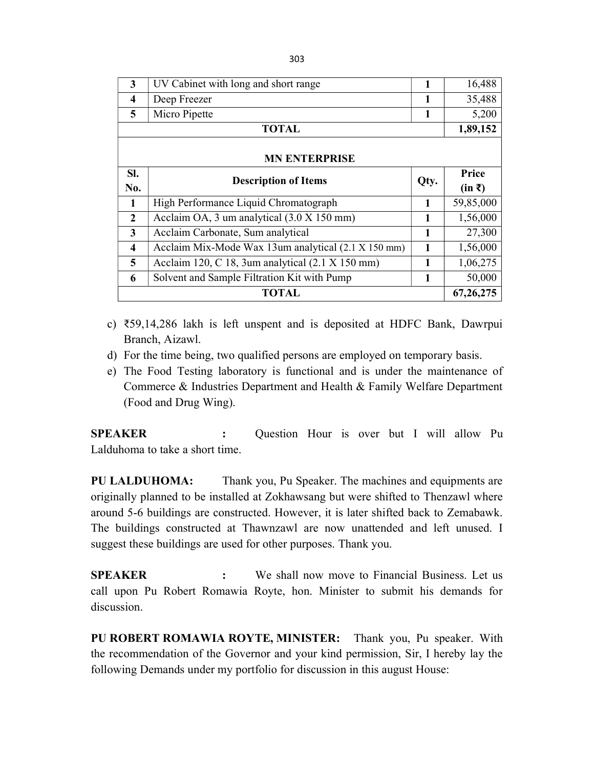| 3                                                | UV Cabinet with long and short range                | 1 | 16,488         |
|--------------------------------------------------|-----------------------------------------------------|---|----------------|
| 4                                                | Deep Freezer                                        | 1 | 35,488         |
| 5                                                | Micro Pipette                                       | 1 | 5,200          |
|                                                  | <b>TOTAL</b>                                        |   | 1,89,152       |
| <b>MN ENTERPRISE</b>                             |                                                     |   |                |
| SI.                                              | <b>Description of Items</b><br>No.                  |   | Price          |
|                                                  |                                                     |   | $(in \bar{z})$ |
| $\mathbf{1}$                                     | High Performance Liquid Chromatograph               |   | 59,85,000      |
| $\mathbf{2}$                                     | Acclaim OA, 3 um analytical (3.0 X 150 mm)          |   | 1,56,000       |
| 3                                                | Acclaim Carbonate, Sum analytical                   |   | 27,300         |
| 4                                                | Acclaim Mix-Mode Wax 13um analytical (2.1 X 150 mm) |   | 1,56,000       |
| 5                                                | Acclaim 120, C 18, 3um analytical (2.1 X 150 mm)    |   | 1,06,275       |
| Solvent and Sample Filtration Kit with Pump<br>6 |                                                     | 1 | 50,000         |
| <b>TOTAL</b>                                     |                                                     |   | 67, 26, 275    |

- c) ₹59,14,286 lakh is left unspent and is deposited at HDFC Bank, Dawrpui Branch, Aizawl.
- d) For the time being, two qualified persons are employed on temporary basis.
- e) The Food Testing laboratory is functional and is under the maintenance of Commerce & Industries Department and Health & Family Welfare Department (Food and Drug Wing).

SPEAKER : Question Hour is over but I will allow Pu Lalduhoma to take a short time.

PU LALDUHOMA: Thank you, Pu Speaker. The machines and equipments are originally planned to be installed at Zokhawsang but were shifted to Thenzawl where around 5-6 buildings are constructed. However, it is later shifted back to Zemabawk. The buildings constructed at Thawnzawl are now unattended and left unused. I suggest these buildings are used for other purposes. Thank you.

SPEAKER : We shall now move to Financial Business. Let us call upon Pu Robert Romawia Royte, hon. Minister to submit his demands for discussion.

PU ROBERT ROMAWIA ROYTE, MINISTER: Thank you, Pu speaker. With the recommendation of the Governor and your kind permission, Sir, I hereby lay the following Demands under my portfolio for discussion in this august House: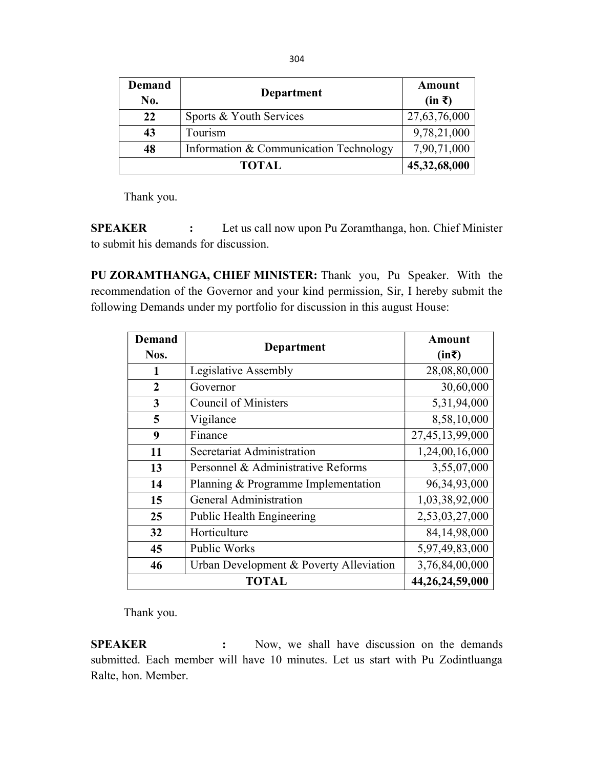| <b>Demand</b><br>No. | Department                             | Amount<br>$(in \bar{z})$ |
|----------------------|----------------------------------------|--------------------------|
| 22                   | Sports & Youth Services                | 27,63,76,000             |
| 43                   | Tourism                                | 9,78,21,000              |
| 48                   | Information & Communication Technology | 7,90,71,000              |
|                      | 45,32,68,000                           |                          |

Thank you.

SPEAKER : Let us call now upon Pu Zoramthanga, hon. Chief Minister to submit his demands for discussion.

PU ZORAMTHANGA, CHIEF MINISTER: Thank you, Pu Speaker. With the recommendation of the Governor and your kind permission, Sir, I hereby submit the following Demands under my portfolio for discussion in this august House:

| <b>Demand</b>  |                                         | Amount          |
|----------------|-----------------------------------------|-----------------|
| Nos.           | Department                              | (in₹)           |
| 1              | Legislative Assembly                    | 28,08,80,000    |
| $\overline{2}$ | Governor                                | 30,60,000       |
| 3              | <b>Council of Ministers</b>             | 5,31,94,000     |
| 5              | Vigilance                               | 8,58,10,000     |
| 9              | Finance                                 | 27,45,13,99,000 |
| 11             | Secretariat Administration              | 1,24,00,16,000  |
| 13             | Personnel & Administrative Reforms      | 3,55,07,000     |
| 14             | Planning & Programme Implementation     | 96, 34, 93, 000 |
| 15             | <b>General Administration</b>           | 1,03,38,92,000  |
| 25             | <b>Public Health Engineering</b>        | 2,53,03,27,000  |
| 32             | Horticulture                            | 84,14,98,000    |
| 45             | <b>Public Works</b>                     | 5,97,49,83,000  |
| 46             | Urban Development & Poverty Alleviation | 3,76,84,00,000  |
|                | <b>TOTAL</b>                            | 44,26,24,59,000 |

Thank you.

SPEAKER : Now, we shall have discussion on the demands submitted. Each member will have 10 minutes. Let us start with Pu Zodintluanga Ralte, hon. Member.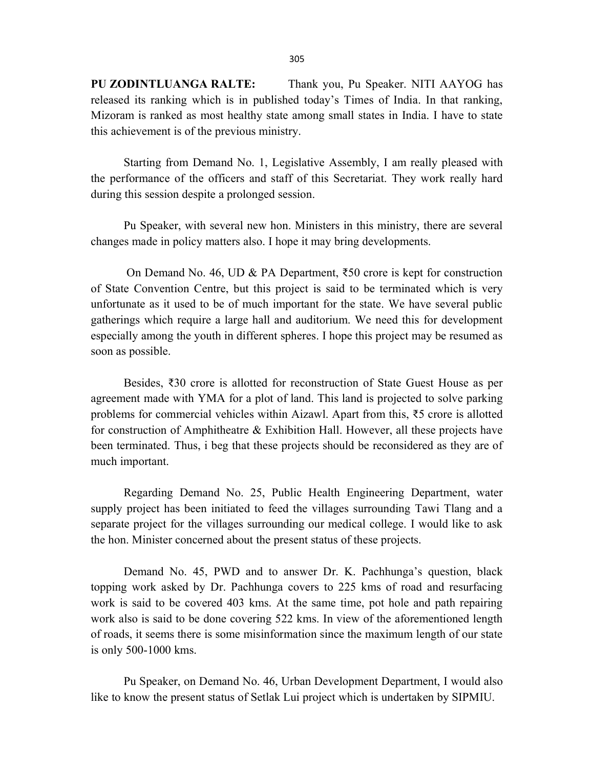PU ZODINTLUANGA RALTE: Thank you, Pu Speaker. NITI AAYOG has released its ranking which is in published today's Times of India. In that ranking, Mizoram is ranked as most healthy state among small states in India. I have to state this achievement is of the previous ministry.

 Starting from Demand No. 1, Legislative Assembly, I am really pleased with the performance of the officers and staff of this Secretariat. They work really hard during this session despite a prolonged session.

 Pu Speaker, with several new hon. Ministers in this ministry, there are several changes made in policy matters also. I hope it may bring developments.

On Demand No. 46, UD & PA Department,  $\overline{$}50$  crore is kept for construction of State Convention Centre, but this project is said to be terminated which is very unfortunate as it used to be of much important for the state. We have several public gatherings which require a large hall and auditorium. We need this for development especially among the youth in different spheres. I hope this project may be resumed as soon as possible.

 Besides, ₹30 crore is allotted for reconstruction of State Guest House as per agreement made with YMA for a plot of land. This land is projected to solve parking problems for commercial vehicles within Aizawl. Apart from this, ₹5 crore is allotted for construction of Amphitheatre & Exhibition Hall. However, all these projects have been terminated. Thus, i beg that these projects should be reconsidered as they are of much important.

 Regarding Demand No. 25, Public Health Engineering Department, water supply project has been initiated to feed the villages surrounding Tawi Tlang and a separate project for the villages surrounding our medical college. I would like to ask the hon. Minister concerned about the present status of these projects.

 Demand No. 45, PWD and to answer Dr. K. Pachhunga's question, black topping work asked by Dr. Pachhunga covers to 225 kms of road and resurfacing work is said to be covered 403 kms. At the same time, pot hole and path repairing work also is said to be done covering 522 kms. In view of the aforementioned length of roads, it seems there is some misinformation since the maximum length of our state is only 500-1000 kms.

 Pu Speaker, on Demand No. 46, Urban Development Department, I would also like to know the present status of Setlak Lui project which is undertaken by SIPMIU.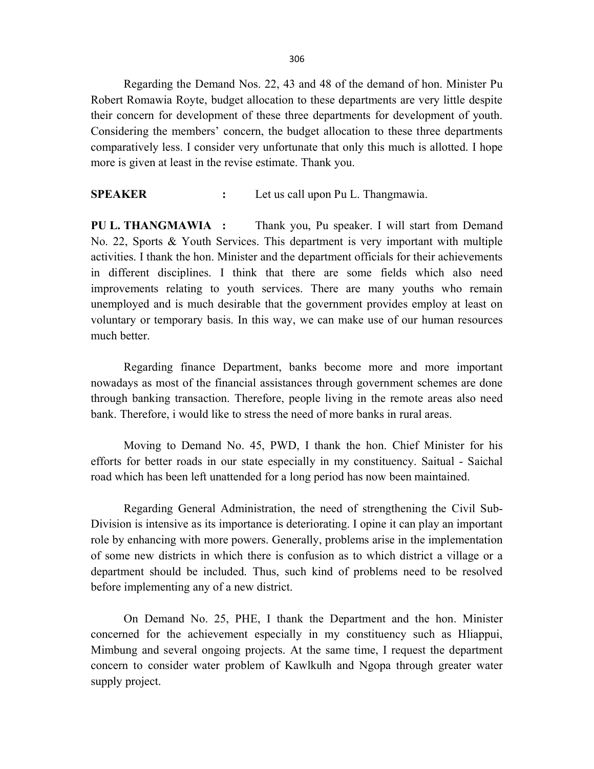306

 Regarding the Demand Nos. 22, 43 and 48 of the demand of hon. Minister Pu Robert Romawia Royte, budget allocation to these departments are very little despite their concern for development of these three departments for development of youth. Considering the members' concern, the budget allocation to these three departments comparatively less. I consider very unfortunate that only this much is allotted. I hope more is given at least in the revise estimate. Thank you.

SPEAKER : Let us call upon Pu L. Thangmawia.

PU L. THANGMAWIA : Thank you, Pu speaker. I will start from Demand No. 22, Sports & Youth Services. This department is very important with multiple activities. I thank the hon. Minister and the department officials for their achievements in different disciplines. I think that there are some fields which also need improvements relating to youth services. There are many youths who remain unemployed and is much desirable that the government provides employ at least on voluntary or temporary basis. In this way, we can make use of our human resources much better.

 Regarding finance Department, banks become more and more important nowadays as most of the financial assistances through government schemes are done through banking transaction. Therefore, people living in the remote areas also need bank. Therefore, i would like to stress the need of more banks in rural areas.

 Moving to Demand No. 45, PWD, I thank the hon. Chief Minister for his efforts for better roads in our state especially in my constituency. Saitual - Saichal road which has been left unattended for a long period has now been maintained.

 Regarding General Administration, the need of strengthening the Civil Sub-Division is intensive as its importance is deteriorating. I opine it can play an important role by enhancing with more powers. Generally, problems arise in the implementation of some new districts in which there is confusion as to which district a village or a department should be included. Thus, such kind of problems need to be resolved before implementing any of a new district.

 On Demand No. 25, PHE, I thank the Department and the hon. Minister concerned for the achievement especially in my constituency such as Hliappui, Mimbung and several ongoing projects. At the same time, I request the department concern to consider water problem of Kawlkulh and Ngopa through greater water supply project.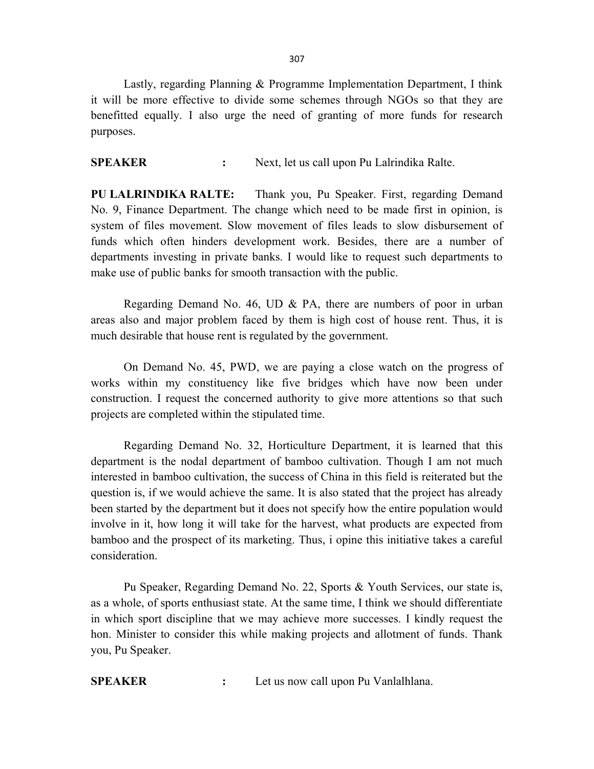307

 Lastly, regarding Planning & Programme Implementation Department, I think it will be more effective to divide some schemes through NGOs so that they are benefitted equally. I also urge the need of granting of more funds for research purposes.

SPEAKER : Next, let us call upon Pu Lalrindika Ralte.

PU LALRINDIKA RALTE: Thank you, Pu Speaker. First, regarding Demand No. 9, Finance Department. The change which need to be made first in opinion, is system of files movement. Slow movement of files leads to slow disbursement of funds which often hinders development work. Besides, there are a number of departments investing in private banks. I would like to request such departments to make use of public banks for smooth transaction with the public.

 Regarding Demand No. 46, UD & PA, there are numbers of poor in urban areas also and major problem faced by them is high cost of house rent. Thus, it is much desirable that house rent is regulated by the government.

 On Demand No. 45, PWD, we are paying a close watch on the progress of works within my constituency like five bridges which have now been under construction. I request the concerned authority to give more attentions so that such projects are completed within the stipulated time.

 Regarding Demand No. 32, Horticulture Department, it is learned that this department is the nodal department of bamboo cultivation. Though I am not much interested in bamboo cultivation, the success of China in this field is reiterated but the question is, if we would achieve the same. It is also stated that the project has already been started by the department but it does not specify how the entire population would involve in it, how long it will take for the harvest, what products are expected from bamboo and the prospect of its marketing. Thus, i opine this initiative takes a careful consideration.

 Pu Speaker, Regarding Demand No. 22, Sports & Youth Services, our state is, as a whole, of sports enthusiast state. At the same time, I think we should differentiate in which sport discipline that we may achieve more successes. I kindly request the hon. Minister to consider this while making projects and allotment of funds. Thank you, Pu Speaker.

SPEAKER : Let us now call upon Pu Vanlalhlana.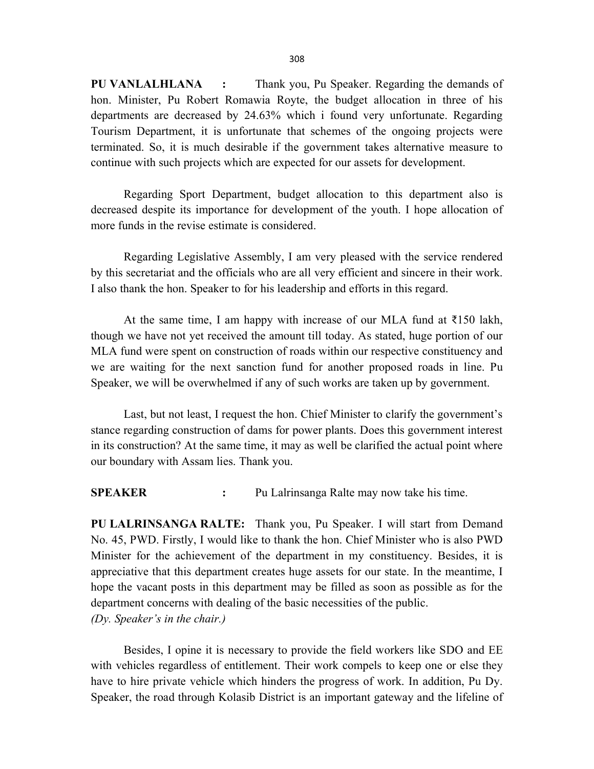PU VANLALHLANA : Thank you, Pu Speaker. Regarding the demands of hon. Minister, Pu Robert Romawia Royte, the budget allocation in three of his departments are decreased by 24.63% which i found very unfortunate. Regarding Tourism Department, it is unfortunate that schemes of the ongoing projects were terminated. So, it is much desirable if the government takes alternative measure to continue with such projects which are expected for our assets for development.

 Regarding Sport Department, budget allocation to this department also is decreased despite its importance for development of the youth. I hope allocation of more funds in the revise estimate is considered.

 Regarding Legislative Assembly, I am very pleased with the service rendered by this secretariat and the officials who are all very efficient and sincere in their work. I also thank the hon. Speaker to for his leadership and efforts in this regard.

 At the same time, I am happy with increase of our MLA fund at ₹150 lakh, though we have not yet received the amount till today. As stated, huge portion of our MLA fund were spent on construction of roads within our respective constituency and we are waiting for the next sanction fund for another proposed roads in line. Pu Speaker, we will be overwhelmed if any of such works are taken up by government.

 Last, but not least, I request the hon. Chief Minister to clarify the government's stance regarding construction of dams for power plants. Does this government interest in its construction? At the same time, it may as well be clarified the actual point where our boundary with Assam lies. Thank you.

SPEAKER : Pu Lalrinsanga Ralte may now take his time.

PU LALRINSANGA RALTE: Thank you, Pu Speaker. I will start from Demand No. 45, PWD. Firstly, I would like to thank the hon. Chief Minister who is also PWD Minister for the achievement of the department in my constituency. Besides, it is appreciative that this department creates huge assets for our state. In the meantime, I hope the vacant posts in this department may be filled as soon as possible as for the department concerns with dealing of the basic necessities of the public. (Dy. Speaker's in the chair.)

 Besides, I opine it is necessary to provide the field workers like SDO and EE with vehicles regardless of entitlement. Their work compels to keep one or else they have to hire private vehicle which hinders the progress of work. In addition, Pu Dy. Speaker, the road through Kolasib District is an important gateway and the lifeline of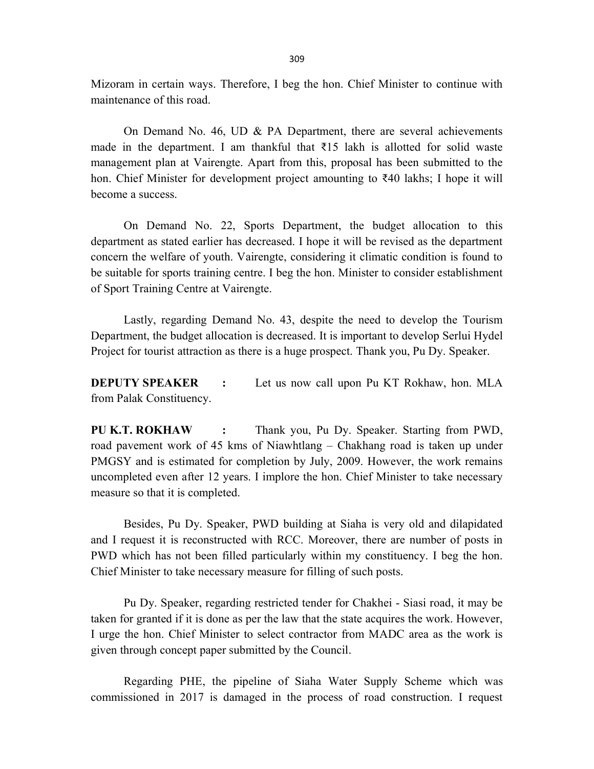Mizoram in certain ways. Therefore, I beg the hon. Chief Minister to continue with maintenance of this road.

 On Demand No. 46, UD & PA Department, there are several achievements made in the department. I am thankful that  $\overline{\xi}$ 15 lakh is allotted for solid waste management plan at Vairengte. Apart from this, proposal has been submitted to the hon. Chief Minister for development project amounting to ₹40 lakhs; I hope it will become a success.

 On Demand No. 22, Sports Department, the budget allocation to this department as stated earlier has decreased. I hope it will be revised as the department concern the welfare of youth. Vairengte, considering it climatic condition is found to be suitable for sports training centre. I beg the hon. Minister to consider establishment of Sport Training Centre at Vairengte.

 Lastly, regarding Demand No. 43, despite the need to develop the Tourism Department, the budget allocation is decreased. It is important to develop Serlui Hydel Project for tourist attraction as there is a huge prospect. Thank you, Pu Dy. Speaker.

**DEPUTY SPEAKER** : Let us now call upon Pu KT Rokhaw, hon. MLA from Palak Constituency.

PU K.T. ROKHAW : Thank you, Pu Dy. Speaker. Starting from PWD, road pavement work of 45 kms of Niawhtlang – Chakhang road is taken up under PMGSY and is estimated for completion by July, 2009. However, the work remains uncompleted even after 12 years. I implore the hon. Chief Minister to take necessary measure so that it is completed.

 Besides, Pu Dy. Speaker, PWD building at Siaha is very old and dilapidated and I request it is reconstructed with RCC. Moreover, there are number of posts in PWD which has not been filled particularly within my constituency. I beg the hon. Chief Minister to take necessary measure for filling of such posts.

 Pu Dy. Speaker, regarding restricted tender for Chakhei - Siasi road, it may be taken for granted if it is done as per the law that the state acquires the work. However, I urge the hon. Chief Minister to select contractor from MADC area as the work is given through concept paper submitted by the Council.

 Regarding PHE, the pipeline of Siaha Water Supply Scheme which was commissioned in 2017 is damaged in the process of road construction. I request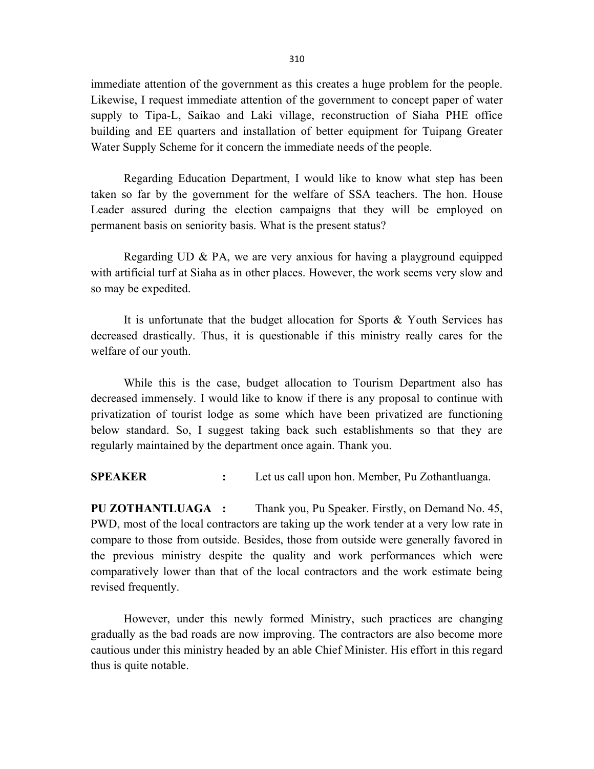immediate attention of the government as this creates a huge problem for the people. Likewise, I request immediate attention of the government to concept paper of water supply to Tipa-L, Saikao and Laki village, reconstruction of Siaha PHE office building and EE quarters and installation of better equipment for Tuipang Greater Water Supply Scheme for it concern the immediate needs of the people.

 Regarding Education Department, I would like to know what step has been taken so far by the government for the welfare of SSA teachers. The hon. House Leader assured during the election campaigns that they will be employed on permanent basis on seniority basis. What is the present status?

 Regarding UD & PA, we are very anxious for having a playground equipped with artificial turf at Siaha as in other places. However, the work seems very slow and so may be expedited.

 It is unfortunate that the budget allocation for Sports & Youth Services has decreased drastically. Thus, it is questionable if this ministry really cares for the welfare of our youth.

 While this is the case, budget allocation to Tourism Department also has decreased immensely. I would like to know if there is any proposal to continue with privatization of tourist lodge as some which have been privatized are functioning below standard. So, I suggest taking back such establishments so that they are regularly maintained by the department once again. Thank you.

SPEAKER : Let us call upon hon. Member, Pu Zothantluanga.

PU ZOTHANTLUAGA : Thank you, Pu Speaker. Firstly, on Demand No. 45, PWD, most of the local contractors are taking up the work tender at a very low rate in compare to those from outside. Besides, those from outside were generally favored in the previous ministry despite the quality and work performances which were comparatively lower than that of the local contractors and the work estimate being revised frequently.

 However, under this newly formed Ministry, such practices are changing gradually as the bad roads are now improving. The contractors are also become more cautious under this ministry headed by an able Chief Minister. His effort in this regard thus is quite notable.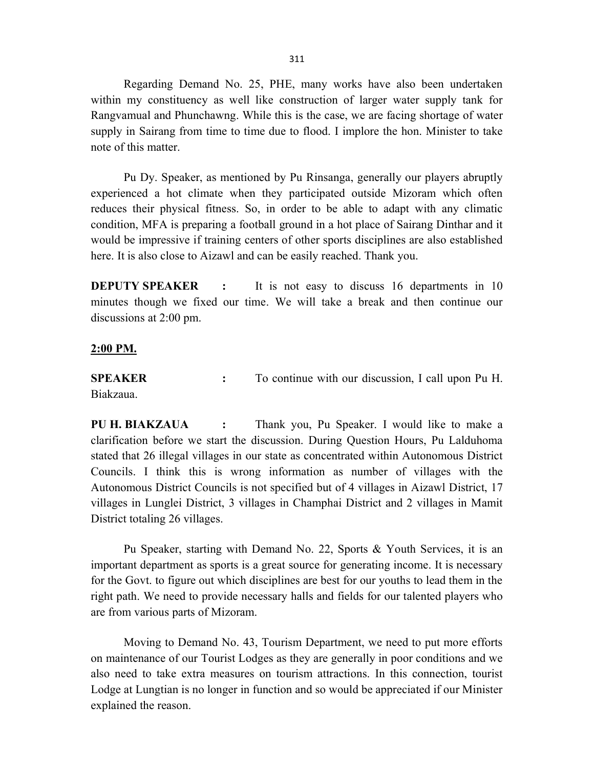Regarding Demand No. 25, PHE, many works have also been undertaken within my constituency as well like construction of larger water supply tank for Rangvamual and Phunchawng. While this is the case, we are facing shortage of water supply in Sairang from time to time due to flood. I implore the hon. Minister to take note of this matter.

 Pu Dy. Speaker, as mentioned by Pu Rinsanga, generally our players abruptly experienced a hot climate when they participated outside Mizoram which often reduces their physical fitness. So, in order to be able to adapt with any climatic condition, MFA is preparing a football ground in a hot place of Sairang Dinthar and it would be impressive if training centers of other sports disciplines are also established here. It is also close to Aizawl and can be easily reached. Thank you.

**DEPUTY SPEAKER** : It is not easy to discuss 16 departments in 10 minutes though we fixed our time. We will take a break and then continue our discussions at 2:00 pm.

#### 2:00 PM.

SPEAKER : To continue with our discussion, I call upon Pu H. Biakzaua.

PU H. BIAKZAUA : Thank you, Pu Speaker. I would like to make a clarification before we start the discussion. During Question Hours, Pu Lalduhoma stated that 26 illegal villages in our state as concentrated within Autonomous District Councils. I think this is wrong information as number of villages with the Autonomous District Councils is not specified but of 4 villages in Aizawl District, 17 villages in Lunglei District, 3 villages in Champhai District and 2 villages in Mamit District totaling 26 villages.

 Pu Speaker, starting with Demand No. 22, Sports & Youth Services, it is an important department as sports is a great source for generating income. It is necessary for the Govt. to figure out which disciplines are best for our youths to lead them in the right path. We need to provide necessary halls and fields for our talented players who are from various parts of Mizoram.

 Moving to Demand No. 43, Tourism Department, we need to put more efforts on maintenance of our Tourist Lodges as they are generally in poor conditions and we also need to take extra measures on tourism attractions. In this connection, tourist Lodge at Lungtian is no longer in function and so would be appreciated if our Minister explained the reason.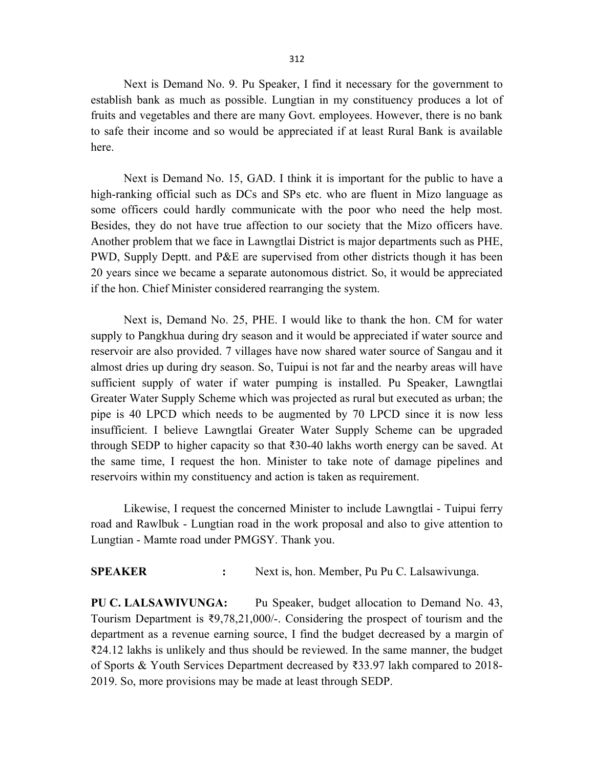Next is Demand No. 9. Pu Speaker, I find it necessary for the government to establish bank as much as possible. Lungtian in my constituency produces a lot of fruits and vegetables and there are many Govt. employees. However, there is no bank to safe their income and so would be appreciated if at least Rural Bank is available here.

 Next is Demand No. 15, GAD. I think it is important for the public to have a high-ranking official such as DCs and SPs etc. who are fluent in Mizo language as some officers could hardly communicate with the poor who need the help most. Besides, they do not have true affection to our society that the Mizo officers have. Another problem that we face in Lawngtlai District is major departments such as PHE, PWD, Supply Deptt. and P&E are supervised from other districts though it has been 20 years since we became a separate autonomous district. So, it would be appreciated if the hon. Chief Minister considered rearranging the system.

 Next is, Demand No. 25, PHE. I would like to thank the hon. CM for water supply to Pangkhua during dry season and it would be appreciated if water source and reservoir are also provided. 7 villages have now shared water source of Sangau and it almost dries up during dry season. So, Tuipui is not far and the nearby areas will have sufficient supply of water if water pumping is installed. Pu Speaker, Lawngtlai Greater Water Supply Scheme which was projected as rural but executed as urban; the pipe is 40 LPCD which needs to be augmented by 70 LPCD since it is now less insufficient. I believe Lawngtlai Greater Water Supply Scheme can be upgraded through SEDP to higher capacity so that ₹30-40 lakhs worth energy can be saved. At the same time, I request the hon. Minister to take note of damage pipelines and reservoirs within my constituency and action is taken as requirement.

 Likewise, I request the concerned Minister to include Lawngtlai - Tuipui ferry road and Rawlbuk - Lungtian road in the work proposal and also to give attention to Lungtian - Mamte road under PMGSY. Thank you.

SPEAKER : Next is, hon. Member, Pu Pu C. Lalsawivunga.

PU C. LALSAWIVUNGA: Pu Speaker, budget allocation to Demand No. 43, Tourism Department is ₹9,78,21,000/-. Considering the prospect of tourism and the department as a revenue earning source, I find the budget decreased by a margin of ₹24.12 lakhs is unlikely and thus should be reviewed. In the same manner, the budget of Sports & Youth Services Department decreased by ₹33.97 lakh compared to 2018- 2019. So, more provisions may be made at least through SEDP.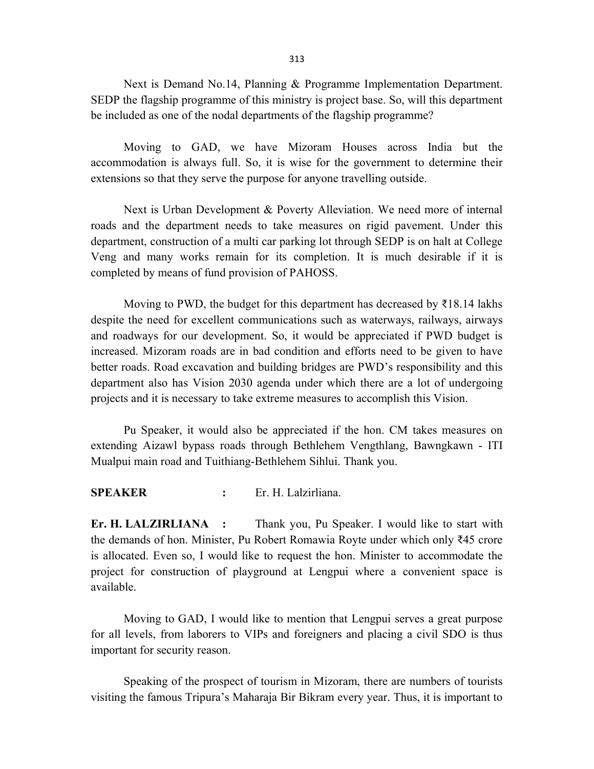313

 Next is Demand No.14, Planning & Programme Implementation Department. SEDP the flagship programme of this ministry is project base. So, will this department be included as one of the nodal departments of the flagship programme?

 Moving to GAD, we have Mizoram Houses across India but the accommodation is always full. So, it is wise for the government to determine their extensions so that they serve the purpose for anyone travelling outside.

 Next is Urban Development & Poverty Alleviation. We need more of internal roads and the department needs to take measures on rigid pavement. Under this department, construction of a multi car parking lot through SEDP is on halt at College Veng and many works remain for its completion. It is much desirable if it is completed by means of fund provision of PAHOSS.

Moving to PWD, the budget for this department has decreased by  $\overline{\xi}$ 18.14 lakhs despite the need for excellent communications such as waterways, railways, airways and roadways for our development. So, it would be appreciated if PWD budget is increased. Mizoram roads are in bad condition and efforts need to be given to have better roads. Road excavation and building bridges are PWD's responsibility and this department also has Vision 2030 agenda under which there are a lot of undergoing projects and it is necessary to take extreme measures to accomplish this Vision.

 Pu Speaker, it would also be appreciated if the hon. CM takes measures on extending Aizawl bypass roads through Bethlehem Vengthlang, Bawngkawn - ITI Mualpui main road and Tuithiang-Bethlehem Sihlui. Thank you.

#### SPEAKER : Er. H. Lalzirliana.

Er. H. LALZIRLIANA : Thank you, Pu Speaker. I would like to start with the demands of hon. Minister, Pu Robert Romawia Royte under which only ₹45 crore is allocated. Even so, I would like to request the hon. Minister to accommodate the project for construction of playground at Lengpui where a convenient space is available.

 Moving to GAD, I would like to mention that Lengpui serves a great purpose for all levels, from laborers to VIPs and foreigners and placing a civil SDO is thus important for security reason.

 Speaking of the prospect of tourism in Mizoram, there are numbers of tourists visiting the famous Tripura's Maharaja Bir Bikram every year. Thus, it is important to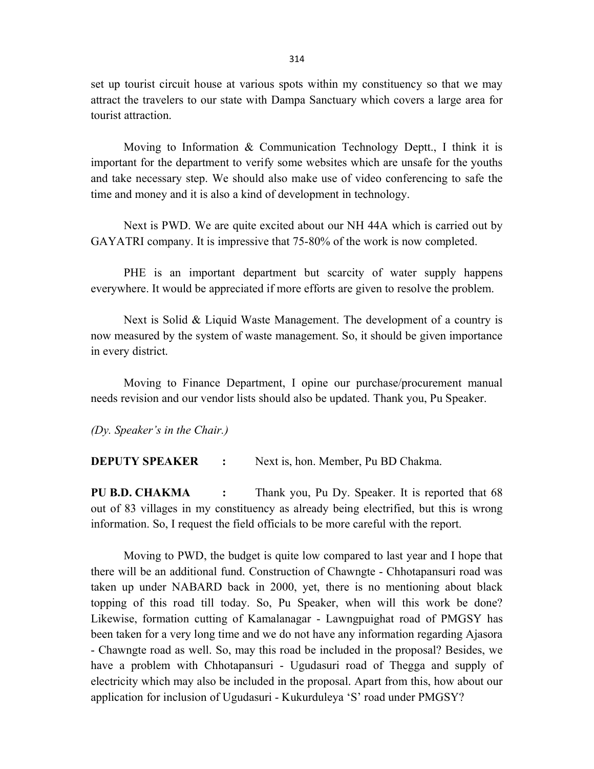set up tourist circuit house at various spots within my constituency so that we may attract the travelers to our state with Dampa Sanctuary which covers a large area for tourist attraction.

 Moving to Information & Communication Technology Deptt., I think it is important for the department to verify some websites which are unsafe for the youths and take necessary step. We should also make use of video conferencing to safe the time and money and it is also a kind of development in technology.

 Next is PWD. We are quite excited about our NH 44A which is carried out by GAYATRI company. It is impressive that 75-80% of the work is now completed.

 PHE is an important department but scarcity of water supply happens everywhere. It would be appreciated if more efforts are given to resolve the problem.

 Next is Solid & Liquid Waste Management. The development of a country is now measured by the system of waste management. So, it should be given importance in every district.

 Moving to Finance Department, I opine our purchase/procurement manual needs revision and our vendor lists should also be updated. Thank you, Pu Speaker.

(Dy. Speaker's in the Chair.)

**DEPUTY SPEAKER :** Next is, hon. Member, Pu BD Chakma.

PU B.D. CHAKMA : Thank you, Pu Dy. Speaker. It is reported that 68 out of 83 villages in my constituency as already being electrified, but this is wrong information. So, I request the field officials to be more careful with the report.

 Moving to PWD, the budget is quite low compared to last year and I hope that there will be an additional fund. Construction of Chawngte - Chhotapansuri road was taken up under NABARD back in 2000, yet, there is no mentioning about black topping of this road till today. So, Pu Speaker, when will this work be done? Likewise, formation cutting of Kamalanagar - Lawngpuighat road of PMGSY has been taken for a very long time and we do not have any information regarding Ajasora - Chawngte road as well. So, may this road be included in the proposal? Besides, we have a problem with Chhotapansuri - Ugudasuri road of Thegga and supply of electricity which may also be included in the proposal. Apart from this, how about our application for inclusion of Ugudasuri - Kukurduleya 'S' road under PMGSY?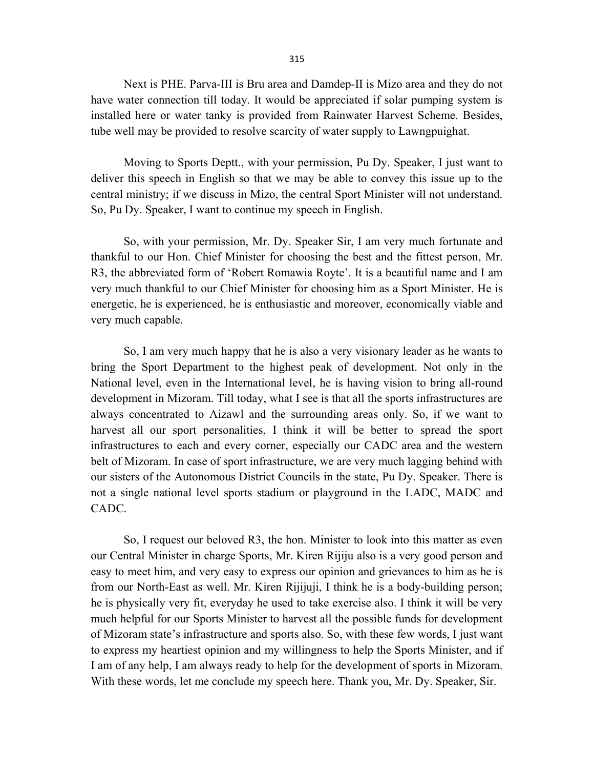Next is PHE. Parva-III is Bru area and Damdep-II is Mizo area and they do not have water connection till today. It would be appreciated if solar pumping system is installed here or water tanky is provided from Rainwater Harvest Scheme. Besides, tube well may be provided to resolve scarcity of water supply to Lawngpuighat.

 Moving to Sports Deptt., with your permission, Pu Dy. Speaker, I just want to deliver this speech in English so that we may be able to convey this issue up to the central ministry; if we discuss in Mizo, the central Sport Minister will not understand. So, Pu Dy. Speaker, I want to continue my speech in English.

 So, with your permission, Mr. Dy. Speaker Sir, I am very much fortunate and thankful to our Hon. Chief Minister for choosing the best and the fittest person, Mr. R3, the abbreviated form of 'Robert Romawia Royte'. It is a beautiful name and I am very much thankful to our Chief Minister for choosing him as a Sport Minister. He is energetic, he is experienced, he is enthusiastic and moreover, economically viable and very much capable.

 So, I am very much happy that he is also a very visionary leader as he wants to bring the Sport Department to the highest peak of development. Not only in the National level, even in the International level, he is having vision to bring all-round development in Mizoram. Till today, what I see is that all the sports infrastructures are always concentrated to Aizawl and the surrounding areas only. So, if we want to harvest all our sport personalities, I think it will be better to spread the sport infrastructures to each and every corner, especially our CADC area and the western belt of Mizoram. In case of sport infrastructure, we are very much lagging behind with our sisters of the Autonomous District Councils in the state, Pu Dy. Speaker. There is not a single national level sports stadium or playground in the LADC, MADC and CADC.

 So, I request our beloved R3, the hon. Minister to look into this matter as even our Central Minister in charge Sports, Mr. Kiren Rijiju also is a very good person and easy to meet him, and very easy to express our opinion and grievances to him as he is from our North-East as well. Mr. Kiren Rijijuji, I think he is a body-building person; he is physically very fit, everyday he used to take exercise also. I think it will be very much helpful for our Sports Minister to harvest all the possible funds for development of Mizoram state's infrastructure and sports also. So, with these few words, I just want to express my heartiest opinion and my willingness to help the Sports Minister, and if I am of any help, I am always ready to help for the development of sports in Mizoram. With these words, let me conclude my speech here. Thank you, Mr. Dy. Speaker, Sir.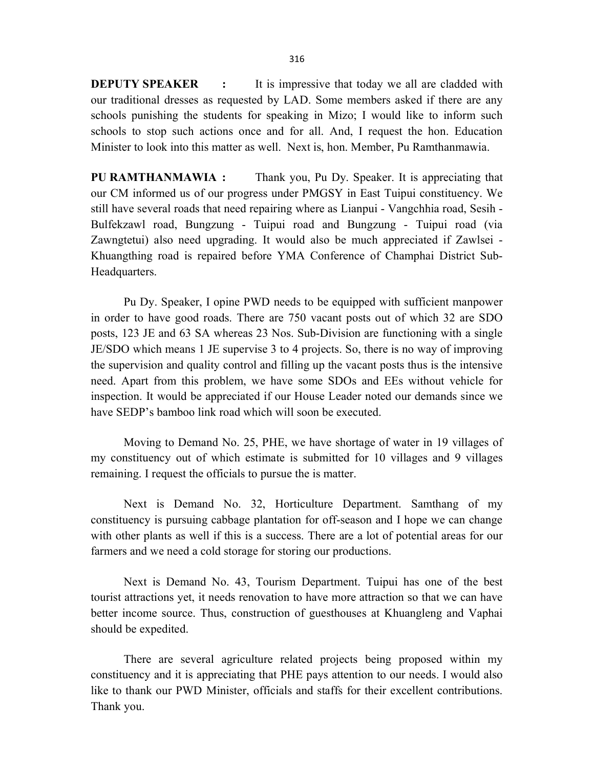**DEPUTY SPEAKER** : It is impressive that today we all are cladded with our traditional dresses as requested by LAD. Some members asked if there are any schools punishing the students for speaking in Mizo; I would like to inform such schools to stop such actions once and for all. And, I request the hon. Education Minister to look into this matter as well. Next is, hon. Member, Pu Ramthanmawia.

PU RAMTHANMAWIA : Thank you, Pu Dy. Speaker. It is appreciating that our CM informed us of our progress under PMGSY in East Tuipui constituency. We still have several roads that need repairing where as Lianpui - Vangchhia road, Sesih - Bulfekzawl road, Bungzung - Tuipui road and Bungzung - Tuipui road (via Zawngtetui) also need upgrading. It would also be much appreciated if Zawlsei - Khuangthing road is repaired before YMA Conference of Champhai District Sub-Headquarters.

 Pu Dy. Speaker, I opine PWD needs to be equipped with sufficient manpower in order to have good roads. There are 750 vacant posts out of which 32 are SDO posts, 123 JE and 63 SA whereas 23 Nos. Sub-Division are functioning with a single JE/SDO which means 1 JE supervise 3 to 4 projects. So, there is no way of improving the supervision and quality control and filling up the vacant posts thus is the intensive need. Apart from this problem, we have some SDOs and EEs without vehicle for inspection. It would be appreciated if our House Leader noted our demands since we have SEDP's bamboo link road which will soon be executed.

 Moving to Demand No. 25, PHE, we have shortage of water in 19 villages of my constituency out of which estimate is submitted for 10 villages and 9 villages remaining. I request the officials to pursue the is matter.

 Next is Demand No. 32, Horticulture Department. Samthang of my constituency is pursuing cabbage plantation for off-season and I hope we can change with other plants as well if this is a success. There are a lot of potential areas for our farmers and we need a cold storage for storing our productions.

 Next is Demand No. 43, Tourism Department. Tuipui has one of the best tourist attractions yet, it needs renovation to have more attraction so that we can have better income source. Thus, construction of guesthouses at Khuangleng and Vaphai should be expedited.

 There are several agriculture related projects being proposed within my constituency and it is appreciating that PHE pays attention to our needs. I would also like to thank our PWD Minister, officials and staffs for their excellent contributions. Thank you.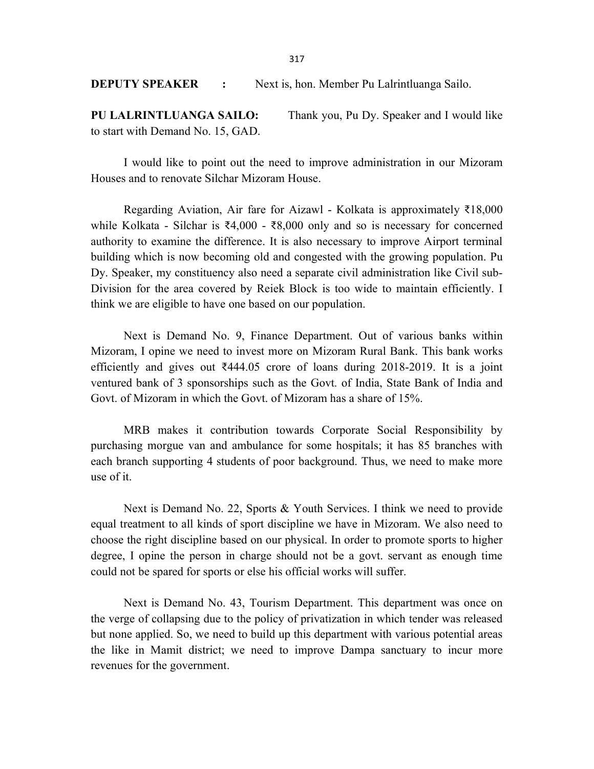| <b>DEPUTY SPEAKER</b> |  | Next is, hon. Member Pu Lalrintluanga Sailo. |
|-----------------------|--|----------------------------------------------|
|-----------------------|--|----------------------------------------------|

PU LALRINTLUANGA SAILO: Thank you, Pu Dy. Speaker and I would like to start with Demand No. 15, GAD.

 I would like to point out the need to improve administration in our Mizoram Houses and to renovate Silchar Mizoram House.

 Regarding Aviation, Air fare for Aizawl - Kolkata is approximately ₹18,000 while Kolkata - Silchar is ₹4,000 - ₹8,000 only and so is necessary for concerned authority to examine the difference. It is also necessary to improve Airport terminal building which is now becoming old and congested with the growing population. Pu Dy. Speaker, my constituency also need a separate civil administration like Civil sub-Division for the area covered by Reiek Block is too wide to maintain efficiently. I think we are eligible to have one based on our population.

 Next is Demand No. 9, Finance Department. Out of various banks within Mizoram, I opine we need to invest more on Mizoram Rural Bank. This bank works efficiently and gives out  $\overline{6}444.05$  crore of loans during 2018-2019. It is a joint ventured bank of 3 sponsorships such as the Govt. of India, State Bank of India and Govt. of Mizoram in which the Govt. of Mizoram has a share of 15%.

 MRB makes it contribution towards Corporate Social Responsibility by purchasing morgue van and ambulance for some hospitals; it has 85 branches with each branch supporting 4 students of poor background. Thus, we need to make more use of it.

 Next is Demand No. 22, Sports & Youth Services. I think we need to provide equal treatment to all kinds of sport discipline we have in Mizoram. We also need to choose the right discipline based on our physical. In order to promote sports to higher degree, I opine the person in charge should not be a govt. servant as enough time could not be spared for sports or else his official works will suffer.

 Next is Demand No. 43, Tourism Department. This department was once on the verge of collapsing due to the policy of privatization in which tender was released but none applied. So, we need to build up this department with various potential areas the like in Mamit district; we need to improve Dampa sanctuary to incur more revenues for the government.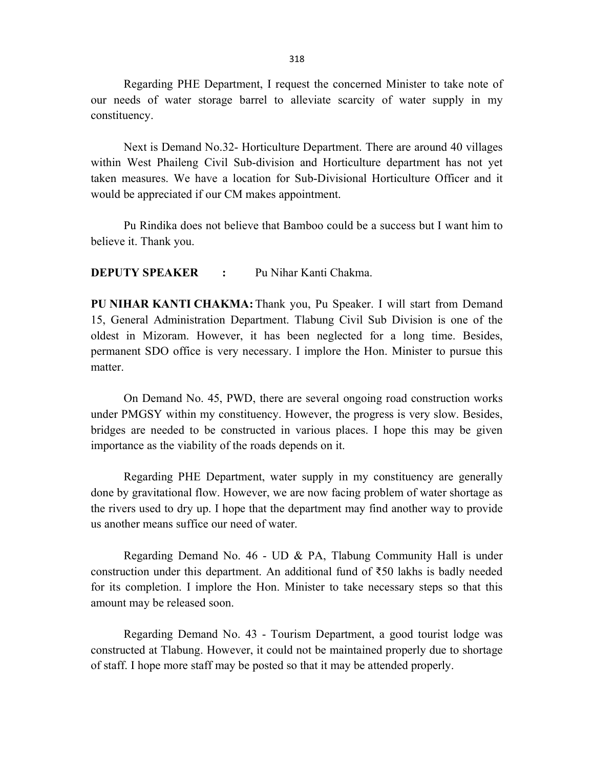Regarding PHE Department, I request the concerned Minister to take note of our needs of water storage barrel to alleviate scarcity of water supply in my constituency.

 Next is Demand No.32- Horticulture Department. There are around 40 villages within West Phaileng Civil Sub-division and Horticulture department has not yet taken measures. We have a location for Sub-Divisional Horticulture Officer and it would be appreciated if our CM makes appointment.

 Pu Rindika does not believe that Bamboo could be a success but I want him to believe it. Thank you.

**DEPUTY SPEAKER : Pu Nihar Kanti Chakma.** 

PU NIHAR KANTI CHAKMA: Thank you, Pu Speaker. I will start from Demand 15, General Administration Department. Tlabung Civil Sub Division is one of the oldest in Mizoram. However, it has been neglected for a long time. Besides, permanent SDO office is very necessary. I implore the Hon. Minister to pursue this matter.

 On Demand No. 45, PWD, there are several ongoing road construction works under PMGSY within my constituency. However, the progress is very slow. Besides, bridges are needed to be constructed in various places. I hope this may be given importance as the viability of the roads depends on it.

 Regarding PHE Department, water supply in my constituency are generally done by gravitational flow. However, we are now facing problem of water shortage as the rivers used to dry up. I hope that the department may find another way to provide us another means suffice our need of water.

 Regarding Demand No. 46 - UD & PA, Tlabung Community Hall is under construction under this department. An additional fund of ₹50 lakhs is badly needed for its completion. I implore the Hon. Minister to take necessary steps so that this amount may be released soon.

 Regarding Demand No. 43 - Tourism Department, a good tourist lodge was constructed at Tlabung. However, it could not be maintained properly due to shortage of staff. I hope more staff may be posted so that it may be attended properly.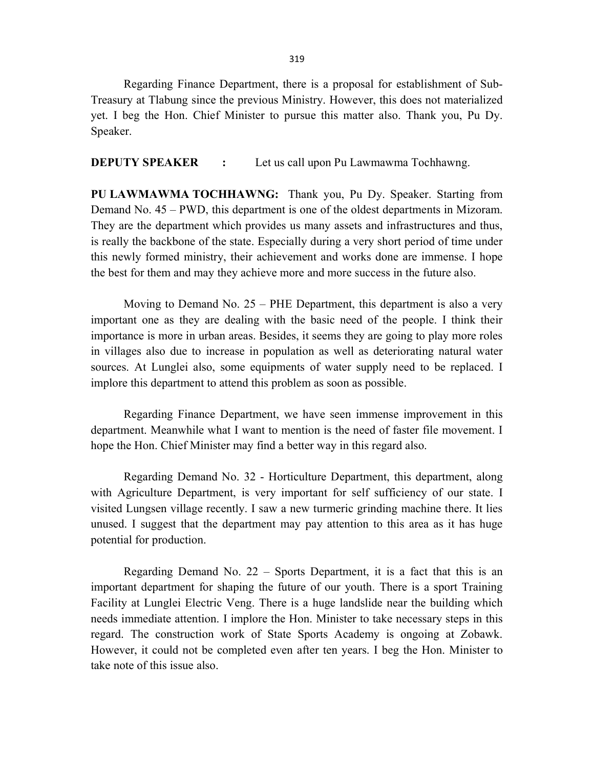Regarding Finance Department, there is a proposal for establishment of Sub-Treasury at Tlabung since the previous Ministry. However, this does not materialized yet. I beg the Hon. Chief Minister to pursue this matter also. Thank you, Pu Dy. Speaker.

**DEPUTY SPEAKER :** Let us call upon Pu Lawmawma Tochhawng.

PU LAWMAWMA TOCHHAWNG: Thank you, Pu Dy. Speaker. Starting from Demand No. 45 – PWD, this department is one of the oldest departments in Mizoram. They are the department which provides us many assets and infrastructures and thus, is really the backbone of the state. Especially during a very short period of time under this newly formed ministry, their achievement and works done are immense. I hope the best for them and may they achieve more and more success in the future also.

 Moving to Demand No. 25 – PHE Department, this department is also a very important one as they are dealing with the basic need of the people. I think their importance is more in urban areas. Besides, it seems they are going to play more roles in villages also due to increase in population as well as deteriorating natural water sources. At Lunglei also, some equipments of water supply need to be replaced. I implore this department to attend this problem as soon as possible.

 Regarding Finance Department, we have seen immense improvement in this department. Meanwhile what I want to mention is the need of faster file movement. I hope the Hon. Chief Minister may find a better way in this regard also.

 Regarding Demand No. 32 - Horticulture Department, this department, along with Agriculture Department, is very important for self sufficiency of our state. I visited Lungsen village recently. I saw a new turmeric grinding machine there. It lies unused. I suggest that the department may pay attention to this area as it has huge potential for production.

Regarding Demand No.  $22$  – Sports Department, it is a fact that this is an important department for shaping the future of our youth. There is a sport Training Facility at Lunglei Electric Veng. There is a huge landslide near the building which needs immediate attention. I implore the Hon. Minister to take necessary steps in this regard. The construction work of State Sports Academy is ongoing at Zobawk. However, it could not be completed even after ten years. I beg the Hon. Minister to take note of this issue also.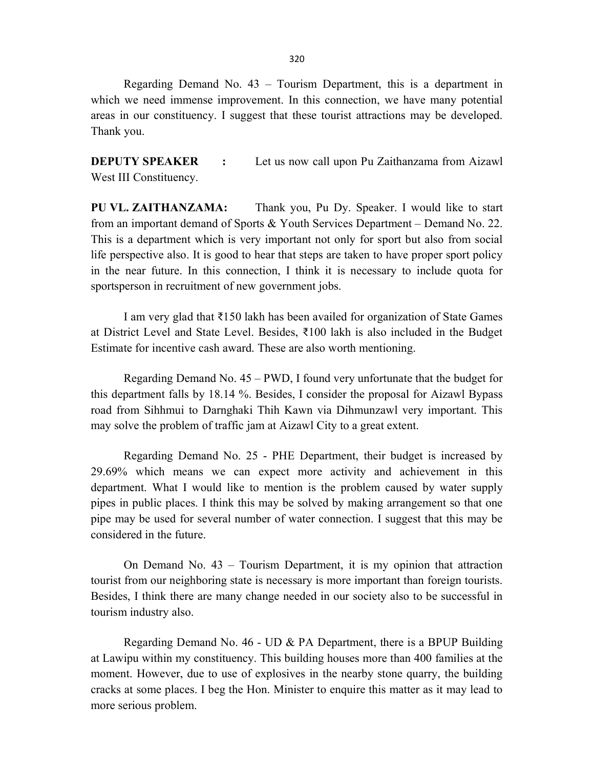Regarding Demand No. 43 – Tourism Department, this is a department in which we need immense improvement. In this connection, we have many potential areas in our constituency. I suggest that these tourist attractions may be developed. Thank you.

**DEPUTY SPEAKER** : Let us now call upon Pu Zaithanzama from Aizawl West III Constituency.

PU VL. ZAITHANZAMA: Thank you, Pu Dy. Speaker. I would like to start from an important demand of Sports  $&$  Youth Services Department – Demand No. 22. This is a department which is very important not only for sport but also from social life perspective also. It is good to hear that steps are taken to have proper sport policy in the near future. In this connection, I think it is necessary to include quota for sportsperson in recruitment of new government jobs.

 I am very glad that ₹150 lakh has been availed for organization of State Games at District Level and State Level. Besides, ₹100 lakh is also included in the Budget Estimate for incentive cash award. These are also worth mentioning.

 Regarding Demand No. 45 – PWD, I found very unfortunate that the budget for this department falls by 18.14 %. Besides, I consider the proposal for Aizawl Bypass road from Sihhmui to Darnghaki Thih Kawn via Dihmunzawl very important. This may solve the problem of traffic jam at Aizawl City to a great extent.

 Regarding Demand No. 25 - PHE Department, their budget is increased by 29.69% which means we can expect more activity and achievement in this department. What I would like to mention is the problem caused by water supply pipes in public places. I think this may be solved by making arrangement so that one pipe may be used for several number of water connection. I suggest that this may be considered in the future.

 On Demand No. 43 – Tourism Department, it is my opinion that attraction tourist from our neighboring state is necessary is more important than foreign tourists. Besides, I think there are many change needed in our society also to be successful in tourism industry also.

 Regarding Demand No. 46 - UD & PA Department, there is a BPUP Building at Lawipu within my constituency. This building houses more than 400 families at the moment. However, due to use of explosives in the nearby stone quarry, the building cracks at some places. I beg the Hon. Minister to enquire this matter as it may lead to more serious problem.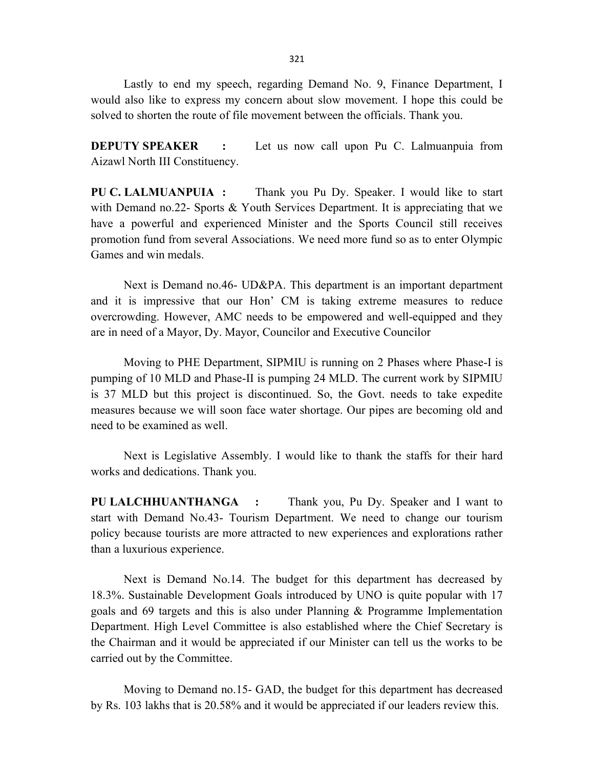Lastly to end my speech, regarding Demand No. 9, Finance Department, I would also like to express my concern about slow movement. I hope this could be solved to shorten the route of file movement between the officials. Thank you.

**DEPUTY SPEAKER** : Let us now call upon Pu C. Lalmuanpuia from Aizawl North III Constituency.

PU C. LALMUANPUIA : Thank you Pu Dy. Speaker. I would like to start with Demand no.22- Sports & Youth Services Department. It is appreciating that we have a powerful and experienced Minister and the Sports Council still receives promotion fund from several Associations. We need more fund so as to enter Olympic Games and win medals.

 Next is Demand no.46- UD&PA. This department is an important department and it is impressive that our Hon' CM is taking extreme measures to reduce overcrowding. However, AMC needs to be empowered and well-equipped and they are in need of a Mayor, Dy. Mayor, Councilor and Executive Councilor

 Moving to PHE Department, SIPMIU is running on 2 Phases where Phase-I is pumping of 10 MLD and Phase-II is pumping 24 MLD. The current work by SIPMIU is 37 MLD but this project is discontinued. So, the Govt. needs to take expedite measures because we will soon face water shortage. Our pipes are becoming old and need to be examined as well.

 Next is Legislative Assembly. I would like to thank the staffs for their hard works and dedications. Thank you.

PU LALCHHUANTHANGA : Thank you, Pu Dy. Speaker and I want to start with Demand No.43- Tourism Department. We need to change our tourism policy because tourists are more attracted to new experiences and explorations rather than a luxurious experience.

 Next is Demand No.14. The budget for this department has decreased by 18.3%. Sustainable Development Goals introduced by UNO is quite popular with 17 goals and 69 targets and this is also under Planning & Programme Implementation Department. High Level Committee is also established where the Chief Secretary is the Chairman and it would be appreciated if our Minister can tell us the works to be carried out by the Committee.

 Moving to Demand no.15- GAD, the budget for this department has decreased by Rs. 103 lakhs that is 20.58% and it would be appreciated if our leaders review this.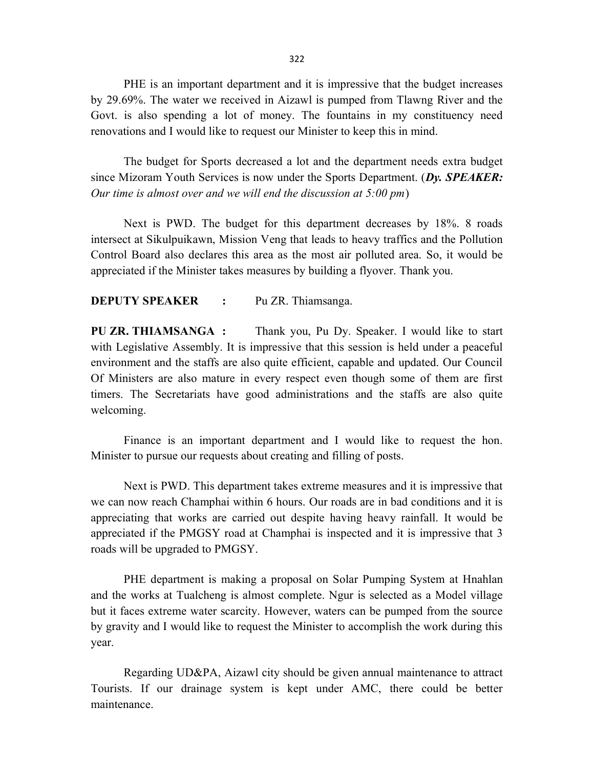PHE is an important department and it is impressive that the budget increases by 29.69%. The water we received in Aizawl is pumped from Tlawng River and the Govt. is also spending a lot of money. The fountains in my constituency need renovations and I would like to request our Minister to keep this in mind.

 The budget for Sports decreased a lot and the department needs extra budget since Mizoram Youth Services is now under the Sports Department. (Dy. SPEAKER: Our time is almost over and we will end the discussion at 5:00 pm)

 Next is PWD. The budget for this department decreases by 18%. 8 roads intersect at Sikulpuikawn, Mission Veng that leads to heavy traffics and the Pollution Control Board also declares this area as the most air polluted area. So, it would be appreciated if the Minister takes measures by building a flyover. Thank you.

**DEPUTY SPEAKER :** Pu ZR. Thiamsanga.

PU ZR. THIAMSANGA : Thank you, Pu Dy. Speaker. I would like to start with Legislative Assembly. It is impressive that this session is held under a peaceful environment and the staffs are also quite efficient, capable and updated. Our Council Of Ministers are also mature in every respect even though some of them are first timers. The Secretariats have good administrations and the staffs are also quite welcoming.

 Finance is an important department and I would like to request the hon. Minister to pursue our requests about creating and filling of posts.

 Next is PWD. This department takes extreme measures and it is impressive that we can now reach Champhai within 6 hours. Our roads are in bad conditions and it is appreciating that works are carried out despite having heavy rainfall. It would be appreciated if the PMGSY road at Champhai is inspected and it is impressive that 3 roads will be upgraded to PMGSY.

 PHE department is making a proposal on Solar Pumping System at Hnahlan and the works at Tualcheng is almost complete. Ngur is selected as a Model village but it faces extreme water scarcity. However, waters can be pumped from the source by gravity and I would like to request the Minister to accomplish the work during this year.

 Regarding UD&PA, Aizawl city should be given annual maintenance to attract Tourists. If our drainage system is kept under AMC, there could be better maintenance.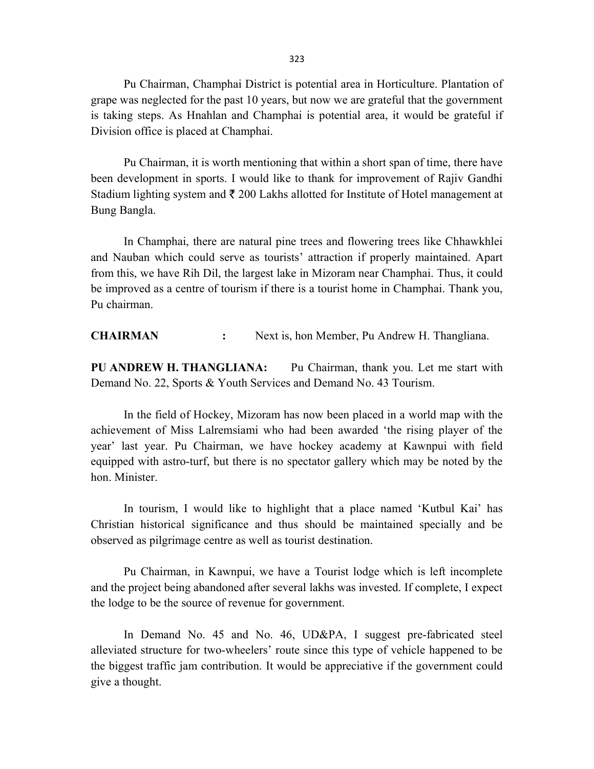323

 Pu Chairman, Champhai District is potential area in Horticulture. Plantation of grape was neglected for the past 10 years, but now we are grateful that the government is taking steps. As Hnahlan and Champhai is potential area, it would be grateful if Division office is placed at Champhai.

 Pu Chairman, it is worth mentioning that within a short span of time, there have been development in sports. I would like to thank for improvement of Rajiv Gandhi Stadium lighting system and  $\bar{\xi}$  200 Lakhs allotted for Institute of Hotel management at Bung Bangla.

 In Champhai, there are natural pine trees and flowering trees like Chhawkhlei and Nauban which could serve as tourists' attraction if properly maintained. Apart from this, we have Rih Dil, the largest lake in Mizoram near Champhai. Thus, it could be improved as a centre of tourism if there is a tourist home in Champhai. Thank you, Pu chairman.

CHAIRMAN : Next is, hon Member, Pu Andrew H. Thangliana.

PU ANDREW H. THANGLIANA: Pu Chairman, thank you. Let me start with Demand No. 22, Sports & Youth Services and Demand No. 43 Tourism.

 In the field of Hockey, Mizoram has now been placed in a world map with the achievement of Miss Lalremsiami who had been awarded 'the rising player of the year' last year. Pu Chairman, we have hockey academy at Kawnpui with field equipped with astro-turf, but there is no spectator gallery which may be noted by the hon. Minister.

 In tourism, I would like to highlight that a place named 'Kutbul Kai' has Christian historical significance and thus should be maintained specially and be observed as pilgrimage centre as well as tourist destination.

 Pu Chairman, in Kawnpui, we have a Tourist lodge which is left incomplete and the project being abandoned after several lakhs was invested. If complete, I expect the lodge to be the source of revenue for government.

 In Demand No. 45 and No. 46, UD&PA, I suggest pre-fabricated steel alleviated structure for two-wheelers' route since this type of vehicle happened to be the biggest traffic jam contribution. It would be appreciative if the government could give a thought.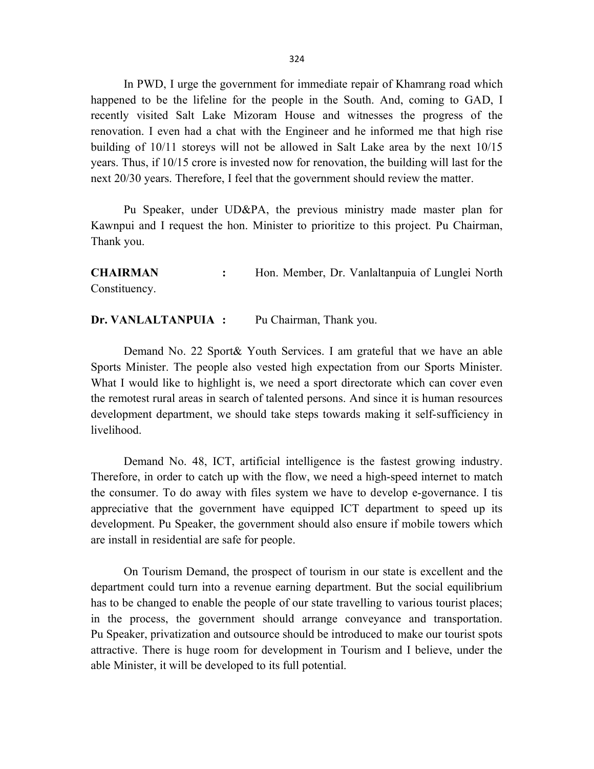In PWD, I urge the government for immediate repair of Khamrang road which happened to be the lifeline for the people in the South. And, coming to GAD, I recently visited Salt Lake Mizoram House and witnesses the progress of the renovation. I even had a chat with the Engineer and he informed me that high rise building of 10/11 storeys will not be allowed in Salt Lake area by the next 10/15 years. Thus, if 10/15 crore is invested now for renovation, the building will last for the next 20/30 years. Therefore, I feel that the government should review the matter.

 Pu Speaker, under UD&PA, the previous ministry made master plan for Kawnpui and I request the hon. Minister to prioritize to this project. Pu Chairman, Thank you.

CHAIRMAN : Hon. Member, Dr. Vanlaltanpuia of Lunglei North Constituency.

Dr. VANLALTANPUIA : Pu Chairman, Thank you.

 Demand No. 22 Sport& Youth Services. I am grateful that we have an able Sports Minister. The people also vested high expectation from our Sports Minister. What I would like to highlight is, we need a sport directorate which can cover even the remotest rural areas in search of talented persons. And since it is human resources development department, we should take steps towards making it self-sufficiency in livelihood.

 Demand No. 48, ICT, artificial intelligence is the fastest growing industry. Therefore, in order to catch up with the flow, we need a high-speed internet to match the consumer. To do away with files system we have to develop e-governance. I tis appreciative that the government have equipped ICT department to speed up its development. Pu Speaker, the government should also ensure if mobile towers which are install in residential are safe for people.

 On Tourism Demand, the prospect of tourism in our state is excellent and the department could turn into a revenue earning department. But the social equilibrium has to be changed to enable the people of our state travelling to various tourist places; in the process, the government should arrange conveyance and transportation. Pu Speaker, privatization and outsource should be introduced to make our tourist spots attractive. There is huge room for development in Tourism and I believe, under the able Minister, it will be developed to its full potential.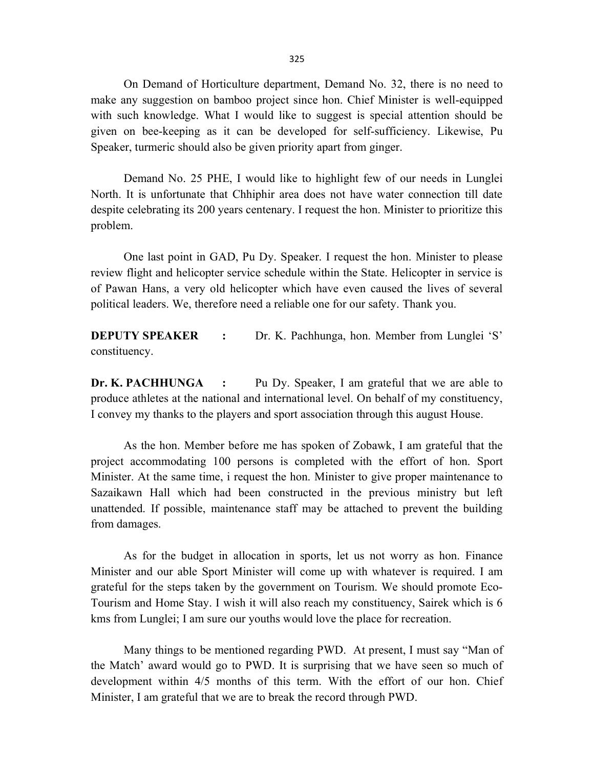325

 On Demand of Horticulture department, Demand No. 32, there is no need to make any suggestion on bamboo project since hon. Chief Minister is well-equipped with such knowledge. What I would like to suggest is special attention should be given on bee-keeping as it can be developed for self-sufficiency. Likewise, Pu Speaker, turmeric should also be given priority apart from ginger.

 Demand No. 25 PHE, I would like to highlight few of our needs in Lunglei North. It is unfortunate that Chhiphir area does not have water connection till date despite celebrating its 200 years centenary. I request the hon. Minister to prioritize this problem.

 One last point in GAD, Pu Dy. Speaker. I request the hon. Minister to please review flight and helicopter service schedule within the State. Helicopter in service is of Pawan Hans, a very old helicopter which have even caused the lives of several political leaders. We, therefore need a reliable one for our safety. Thank you.

**DEPUTY SPEAKER** : Dr. K. Pachhunga, hon. Member from Lunglei 'S' constituency.

Dr. K. PACHHUNGA : Pu Dy. Speaker, I am grateful that we are able to produce athletes at the national and international level. On behalf of my constituency, I convey my thanks to the players and sport association through this august House.

 As the hon. Member before me has spoken of Zobawk, I am grateful that the project accommodating 100 persons is completed with the effort of hon. Sport Minister. At the same time, i request the hon. Minister to give proper maintenance to Sazaikawn Hall which had been constructed in the previous ministry but left unattended. If possible, maintenance staff may be attached to prevent the building from damages.

 As for the budget in allocation in sports, let us not worry as hon. Finance Minister and our able Sport Minister will come up with whatever is required. I am grateful for the steps taken by the government on Tourism. We should promote Eco-Tourism and Home Stay. I wish it will also reach my constituency, Sairek which is 6 kms from Lunglei; I am sure our youths would love the place for recreation.

 Many things to be mentioned regarding PWD. At present, I must say "Man of the Match' award would go to PWD. It is surprising that we have seen so much of development within 4/5 months of this term. With the effort of our hon. Chief Minister, I am grateful that we are to break the record through PWD.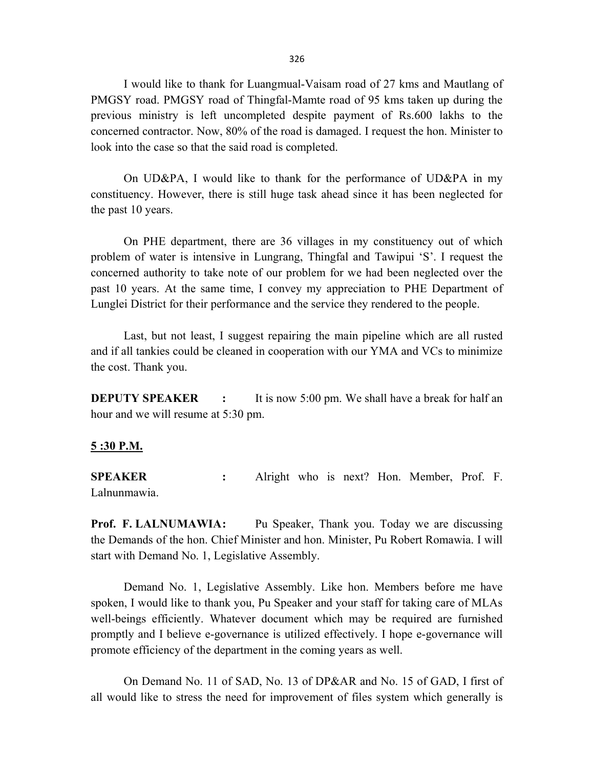326

 I would like to thank for Luangmual-Vaisam road of 27 kms and Mautlang of PMGSY road. PMGSY road of Thingfal-Mamte road of 95 kms taken up during the previous ministry is left uncompleted despite payment of Rs.600 lakhs to the concerned contractor. Now, 80% of the road is damaged. I request the hon. Minister to look into the case so that the said road is completed.

 On UD&PA, I would like to thank for the performance of UD&PA in my constituency. However, there is still huge task ahead since it has been neglected for the past 10 years.

 On PHE department, there are 36 villages in my constituency out of which problem of water is intensive in Lungrang, Thingfal and Tawipui 'S'. I request the concerned authority to take note of our problem for we had been neglected over the past 10 years. At the same time, I convey my appreciation to PHE Department of Lunglei District for their performance and the service they rendered to the people.

 Last, but not least, I suggest repairing the main pipeline which are all rusted and if all tankies could be cleaned in cooperation with our YMA and VCs to minimize the cost. Thank you.

**DEPUTY SPEAKER** : It is now 5:00 pm. We shall have a break for half an hour and we will resume at 5:30 pm.

#### 5 :30 P.M.

SPEAKER : Alright who is next? Hon. Member, Prof. F. Lalnunmawia.

**Prof. F. LALNUMAWIA:** Pu Speaker, Thank you. Today we are discussing the Demands of the hon. Chief Minister and hon. Minister, Pu Robert Romawia. I will start with Demand No. 1, Legislative Assembly.

 Demand No. 1, Legislative Assembly. Like hon. Members before me have spoken, I would like to thank you, Pu Speaker and your staff for taking care of MLAs well-beings efficiently. Whatever document which may be required are furnished promptly and I believe e-governance is utilized effectively. I hope e-governance will promote efficiency of the department in the coming years as well.

 On Demand No. 11 of SAD, No. 13 of DP&AR and No. 15 of GAD, I first of all would like to stress the need for improvement of files system which generally is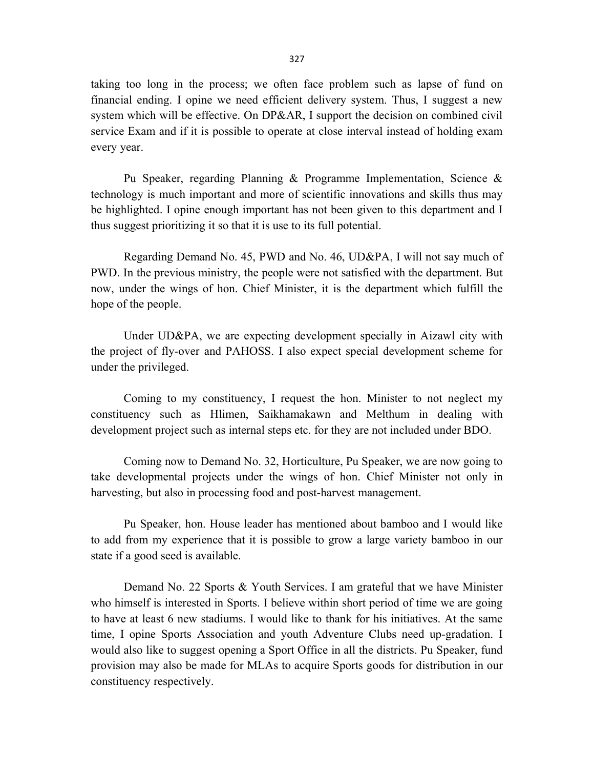taking too long in the process; we often face problem such as lapse of fund on financial ending. I opine we need efficient delivery system. Thus, I suggest a new system which will be effective. On DP&AR, I support the decision on combined civil service Exam and if it is possible to operate at close interval instead of holding exam every year.

 Pu Speaker, regarding Planning & Programme Implementation, Science & technology is much important and more of scientific innovations and skills thus may be highlighted. I opine enough important has not been given to this department and I thus suggest prioritizing it so that it is use to its full potential.

 Regarding Demand No. 45, PWD and No. 46, UD&PA, I will not say much of PWD. In the previous ministry, the people were not satisfied with the department. But now, under the wings of hon. Chief Minister, it is the department which fulfill the hope of the people.

 Under UD&PA, we are expecting development specially in Aizawl city with the project of fly-over and PAHOSS. I also expect special development scheme for under the privileged.

 Coming to my constituency, I request the hon. Minister to not neglect my constituency such as Hlimen, Saikhamakawn and Melthum in dealing with development project such as internal steps etc. for they are not included under BDO.

 Coming now to Demand No. 32, Horticulture, Pu Speaker, we are now going to take developmental projects under the wings of hon. Chief Minister not only in harvesting, but also in processing food and post-harvest management.

 Pu Speaker, hon. House leader has mentioned about bamboo and I would like to add from my experience that it is possible to grow a large variety bamboo in our state if a good seed is available.

 Demand No. 22 Sports & Youth Services. I am grateful that we have Minister who himself is interested in Sports. I believe within short period of time we are going to have at least 6 new stadiums. I would like to thank for his initiatives. At the same time, I opine Sports Association and youth Adventure Clubs need up-gradation. I would also like to suggest opening a Sport Office in all the districts. Pu Speaker, fund provision may also be made for MLAs to acquire Sports goods for distribution in our constituency respectively.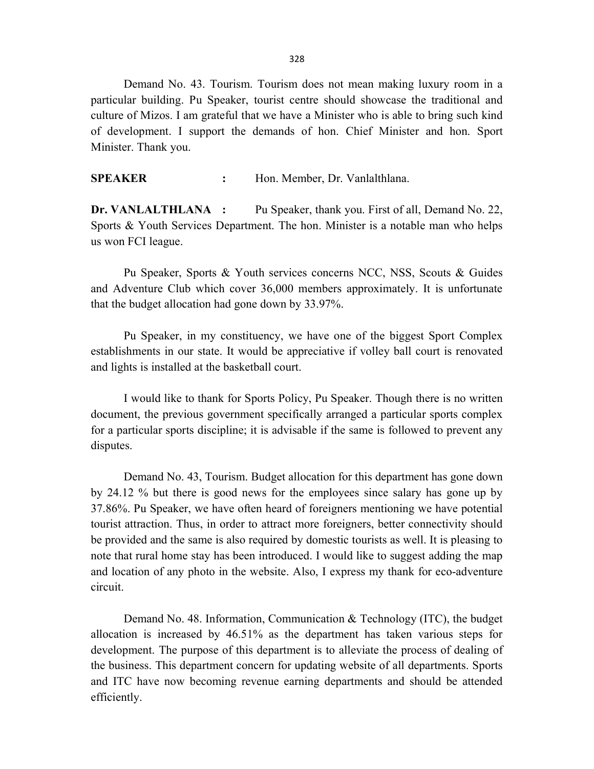Demand No. 43. Tourism. Tourism does not mean making luxury room in a particular building. Pu Speaker, tourist centre should showcase the traditional and culture of Mizos. I am grateful that we have a Minister who is able to bring such kind of development. I support the demands of hon. Chief Minister and hon. Sport Minister. Thank you.

SPEAKER : Hon. Member, Dr. Vanlalthlana.

Dr. VANLALTHLANA : Pu Speaker, thank you. First of all, Demand No. 22, Sports & Youth Services Department. The hon. Minister is a notable man who helps us won FCI league.

 Pu Speaker, Sports & Youth services concerns NCC, NSS, Scouts & Guides and Adventure Club which cover 36,000 members approximately. It is unfortunate that the budget allocation had gone down by 33.97%.

 Pu Speaker, in my constituency, we have one of the biggest Sport Complex establishments in our state. It would be appreciative if volley ball court is renovated and lights is installed at the basketball court.

 I would like to thank for Sports Policy, Pu Speaker. Though there is no written document, the previous government specifically arranged a particular sports complex for a particular sports discipline; it is advisable if the same is followed to prevent any disputes.

 Demand No. 43, Tourism. Budget allocation for this department has gone down by 24.12 % but there is good news for the employees since salary has gone up by 37.86%. Pu Speaker, we have often heard of foreigners mentioning we have potential tourist attraction. Thus, in order to attract more foreigners, better connectivity should be provided and the same is also required by domestic tourists as well. It is pleasing to note that rural home stay has been introduced. I would like to suggest adding the map and location of any photo in the website. Also, I express my thank for eco-adventure circuit.

 Demand No. 48. Information, Communication & Technology (ITC), the budget allocation is increased by 46.51% as the department has taken various steps for development. The purpose of this department is to alleviate the process of dealing of the business. This department concern for updating website of all departments. Sports and ITC have now becoming revenue earning departments and should be attended efficiently.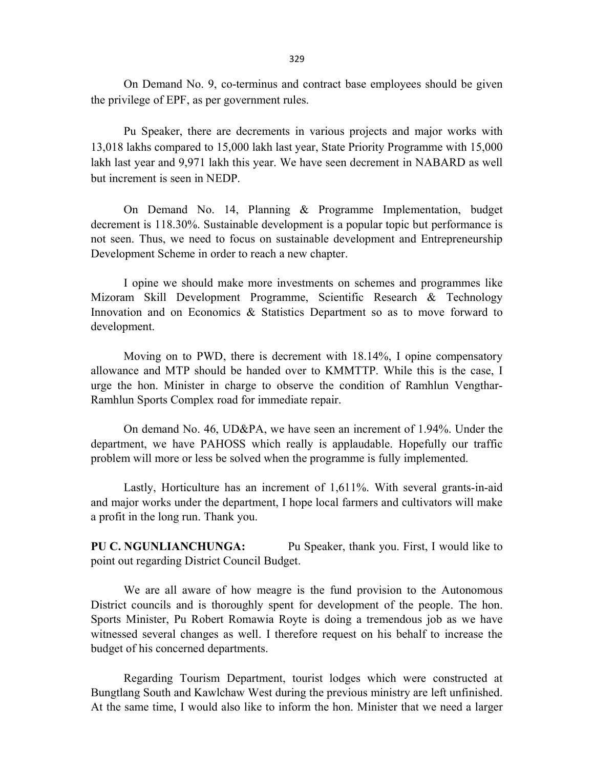On Demand No. 9, co-terminus and contract base employees should be given the privilege of EPF, as per government rules.

 Pu Speaker, there are decrements in various projects and major works with 13,018 lakhs compared to 15,000 lakh last year, State Priority Programme with 15,000 lakh last year and 9,971 lakh this year. We have seen decrement in NABARD as well but increment is seen in NEDP.

 On Demand No. 14, Planning & Programme Implementation, budget decrement is 118.30%. Sustainable development is a popular topic but performance is not seen. Thus, we need to focus on sustainable development and Entrepreneurship Development Scheme in order to reach a new chapter.

 I opine we should make more investments on schemes and programmes like Mizoram Skill Development Programme, Scientific Research & Technology Innovation and on Economics & Statistics Department so as to move forward to development.

 Moving on to PWD, there is decrement with 18.14%, I opine compensatory allowance and MTP should be handed over to KMMTTP. While this is the case, I urge the hon. Minister in charge to observe the condition of Ramhlun Vengthar-Ramhlun Sports Complex road for immediate repair.

 On demand No. 46, UD&PA, we have seen an increment of 1.94%. Under the department, we have PAHOSS which really is applaudable. Hopefully our traffic problem will more or less be solved when the programme is fully implemented.

 Lastly, Horticulture has an increment of 1,611%. With several grants-in-aid and major works under the department, I hope local farmers and cultivators will make a profit in the long run. Thank you.

PU C. NGUNLIANCHUNGA: Pu Speaker, thank you. First, I would like to point out regarding District Council Budget.

 We are all aware of how meagre is the fund provision to the Autonomous District councils and is thoroughly spent for development of the people. The hon. Sports Minister, Pu Robert Romawia Royte is doing a tremendous job as we have witnessed several changes as well. I therefore request on his behalf to increase the budget of his concerned departments.

 Regarding Tourism Department, tourist lodges which were constructed at Bungtlang South and Kawlchaw West during the previous ministry are left unfinished. At the same time, I would also like to inform the hon. Minister that we need a larger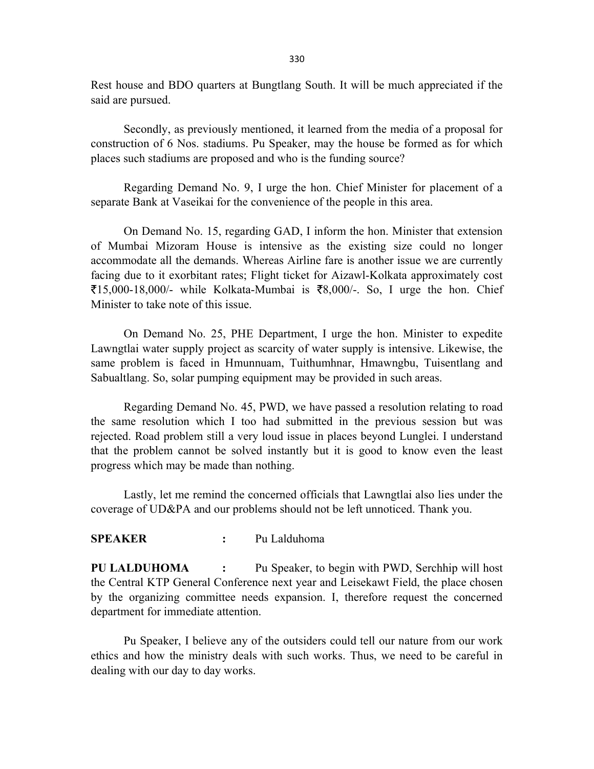Rest house and BDO quarters at Bungtlang South. It will be much appreciated if the said are pursued.

 Secondly, as previously mentioned, it learned from the media of a proposal for construction of 6 Nos. stadiums. Pu Speaker, may the house be formed as for which places such stadiums are proposed and who is the funding source?

 Regarding Demand No. 9, I urge the hon. Chief Minister for placement of a separate Bank at Vaseikai for the convenience of the people in this area.

 On Demand No. 15, regarding GAD, I inform the hon. Minister that extension of Mumbai Mizoram House is intensive as the existing size could no longer accommodate all the demands. Whereas Airline fare is another issue we are currently facing due to it exorbitant rates; Flight ticket for Aizawl-Kolkata approximately cost  $\text{\textsterling}15,000-18,000/-$  while Kolkata-Mumbai is  $\text{\textsterling}8,000/-$ . So, I urge the hon. Chief Minister to take note of this issue.

 On Demand No. 25, PHE Department, I urge the hon. Minister to expedite Lawngtlai water supply project as scarcity of water supply is intensive. Likewise, the same problem is faced in Hmunnuam, Tuithumhnar, Hmawngbu, Tuisentlang and Sabualtlang. So, solar pumping equipment may be provided in such areas.

 Regarding Demand No. 45, PWD, we have passed a resolution relating to road the same resolution which I too had submitted in the previous session but was rejected. Road problem still a very loud issue in places beyond Lunglei. I understand that the problem cannot be solved instantly but it is good to know even the least progress which may be made than nothing.

 Lastly, let me remind the concerned officials that Lawngtlai also lies under the coverage of UD&PA and our problems should not be left unnoticed. Thank you.

#### SPEAKER : Pu Lalduhoma

PU LALDUHOMA : Pu Speaker, to begin with PWD, Serchhip will host the Central KTP General Conference next year and Leisekawt Field, the place chosen by the organizing committee needs expansion. I, therefore request the concerned department for immediate attention.

 Pu Speaker, I believe any of the outsiders could tell our nature from our work ethics and how the ministry deals with such works. Thus, we need to be careful in dealing with our day to day works.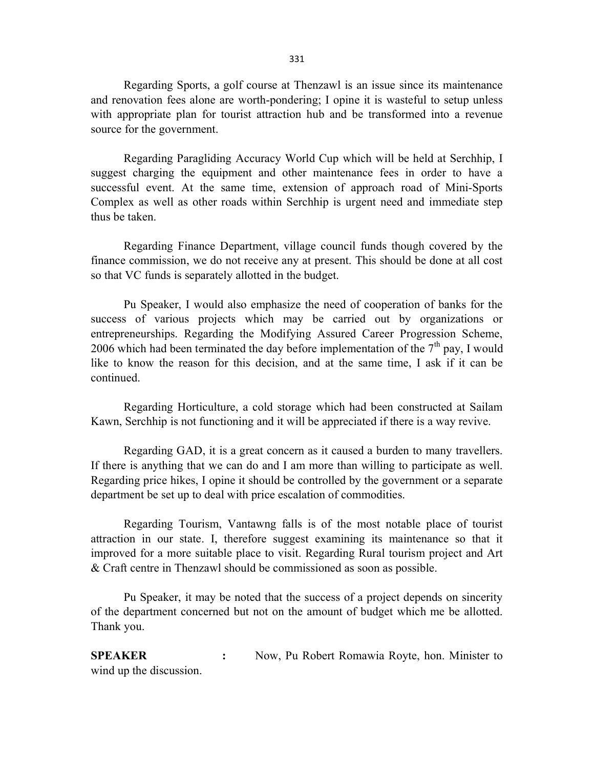Regarding Sports, a golf course at Thenzawl is an issue since its maintenance and renovation fees alone are worth-pondering; I opine it is wasteful to setup unless with appropriate plan for tourist attraction hub and be transformed into a revenue source for the government.

 Regarding Paragliding Accuracy World Cup which will be held at Serchhip, I suggest charging the equipment and other maintenance fees in order to have a successful event. At the same time, extension of approach road of Mini-Sports Complex as well as other roads within Serchhip is urgent need and immediate step thus be taken.

 Regarding Finance Department, village council funds though covered by the finance commission, we do not receive any at present. This should be done at all cost so that VC funds is separately allotted in the budget.

 Pu Speaker, I would also emphasize the need of cooperation of banks for the success of various projects which may be carried out by organizations or entrepreneurships. Regarding the Modifying Assured Career Progression Scheme, 2006 which had been terminated the day before implementation of the  $7<sup>th</sup>$  pay, I would like to know the reason for this decision, and at the same time, I ask if it can be continued.

 Regarding Horticulture, a cold storage which had been constructed at Sailam Kawn, Serchhip is not functioning and it will be appreciated if there is a way revive.

 Regarding GAD, it is a great concern as it caused a burden to many travellers. If there is anything that we can do and I am more than willing to participate as well. Regarding price hikes, I opine it should be controlled by the government or a separate department be set up to deal with price escalation of commodities.

 Regarding Tourism, Vantawng falls is of the most notable place of tourist attraction in our state. I, therefore suggest examining its maintenance so that it improved for a more suitable place to visit. Regarding Rural tourism project and Art & Craft centre in Thenzawl should be commissioned as soon as possible.

 Pu Speaker, it may be noted that the success of a project depends on sincerity of the department concerned but not on the amount of budget which me be allotted. Thank you.

SPEAKER : Now, Pu Robert Romawia Royte, hon. Minister to wind up the discussion.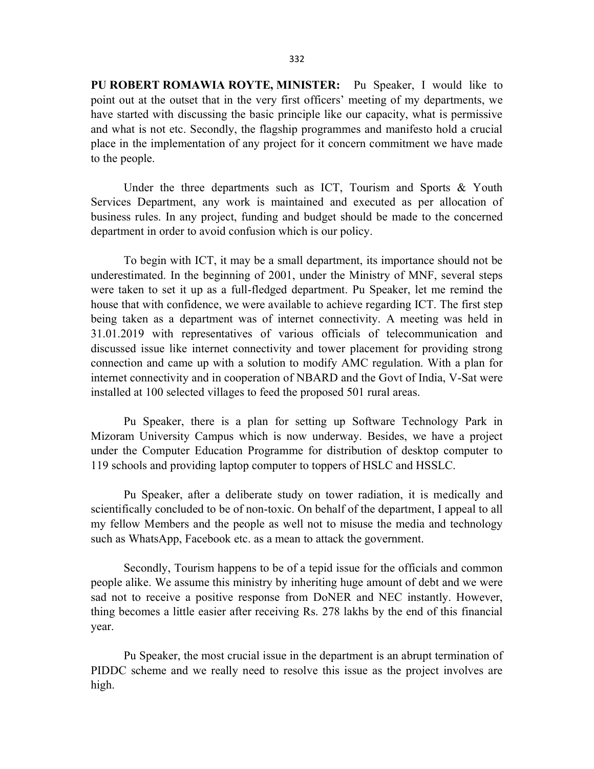PU ROBERT ROMAWIA ROYTE, MINISTER: Pu Speaker, I would like to point out at the outset that in the very first officers' meeting of my departments, we have started with discussing the basic principle like our capacity, what is permissive and what is not etc. Secondly, the flagship programmes and manifesto hold a crucial place in the implementation of any project for it concern commitment we have made to the people.

 Under the three departments such as ICT, Tourism and Sports & Youth Services Department, any work is maintained and executed as per allocation of business rules. In any project, funding and budget should be made to the concerned department in order to avoid confusion which is our policy.

 To begin with ICT, it may be a small department, its importance should not be underestimated. In the beginning of 2001, under the Ministry of MNF, several steps were taken to set it up as a full-fledged department. Pu Speaker, let me remind the house that with confidence, we were available to achieve regarding ICT. The first step being taken as a department was of internet connectivity. A meeting was held in 31.01.2019 with representatives of various officials of telecommunication and discussed issue like internet connectivity and tower placement for providing strong connection and came up with a solution to modify AMC regulation. With a plan for internet connectivity and in cooperation of NBARD and the Govt of India, V-Sat were installed at 100 selected villages to feed the proposed 501 rural areas.

 Pu Speaker, there is a plan for setting up Software Technology Park in Mizoram University Campus which is now underway. Besides, we have a project under the Computer Education Programme for distribution of desktop computer to 119 schools and providing laptop computer to toppers of HSLC and HSSLC.

 Pu Speaker, after a deliberate study on tower radiation, it is medically and scientifically concluded to be of non-toxic. On behalf of the department, I appeal to all my fellow Members and the people as well not to misuse the media and technology such as WhatsApp, Facebook etc. as a mean to attack the government.

 Secondly, Tourism happens to be of a tepid issue for the officials and common people alike. We assume this ministry by inheriting huge amount of debt and we were sad not to receive a positive response from DoNER and NEC instantly. However, thing becomes a little easier after receiving Rs. 278 lakhs by the end of this financial year.

 Pu Speaker, the most crucial issue in the department is an abrupt termination of PIDDC scheme and we really need to resolve this issue as the project involves are high.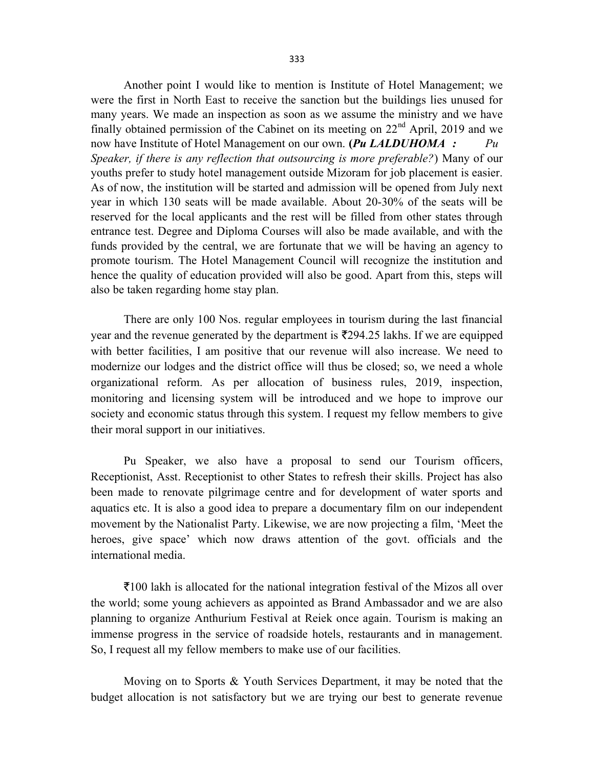Another point I would like to mention is Institute of Hotel Management; we were the first in North East to receive the sanction but the buildings lies unused for many years. We made an inspection as soon as we assume the ministry and we have finally obtained permission of the Cabinet on its meeting on  $22<sup>nd</sup>$  April, 2019 and we now have Institute of Hotel Management on our own. (Pu LALDUHOMA : Pu Speaker, if there is any reflection that outsourcing is more preferable?) Many of our youths prefer to study hotel management outside Mizoram for job placement is easier. As of now, the institution will be started and admission will be opened from July next year in which 130 seats will be made available. About 20-30% of the seats will be reserved for the local applicants and the rest will be filled from other states through entrance test. Degree and Diploma Courses will also be made available, and with the funds provided by the central, we are fortunate that we will be having an agency to promote tourism. The Hotel Management Council will recognize the institution and hence the quality of education provided will also be good. Apart from this, steps will also be taken regarding home stay plan.

 There are only 100 Nos. regular employees in tourism during the last financial year and the revenue generated by the department is  $\overline{\xi}$ 294.25 lakhs. If we are equipped with better facilities, I am positive that our revenue will also increase. We need to modernize our lodges and the district office will thus be closed; so, we need a whole organizational reform. As per allocation of business rules, 2019, inspection, monitoring and licensing system will be introduced and we hope to improve our society and economic status through this system. I request my fellow members to give their moral support in our initiatives.

 Pu Speaker, we also have a proposal to send our Tourism officers, Receptionist, Asst. Receptionist to other States to refresh their skills. Project has also been made to renovate pilgrimage centre and for development of water sports and aquatics etc. It is also a good idea to prepare a documentary film on our independent movement by the Nationalist Party. Likewise, we are now projecting a film, 'Meet the heroes, give space' which now draws attention of the govt. officials and the international media.

 $\overline{5}100$  lakh is allocated for the national integration festival of the Mizos all over the world; some young achievers as appointed as Brand Ambassador and we are also planning to organize Anthurium Festival at Reiek once again. Tourism is making an immense progress in the service of roadside hotels, restaurants and in management. So, I request all my fellow members to make use of our facilities.

 Moving on to Sports & Youth Services Department, it may be noted that the budget allocation is not satisfactory but we are trying our best to generate revenue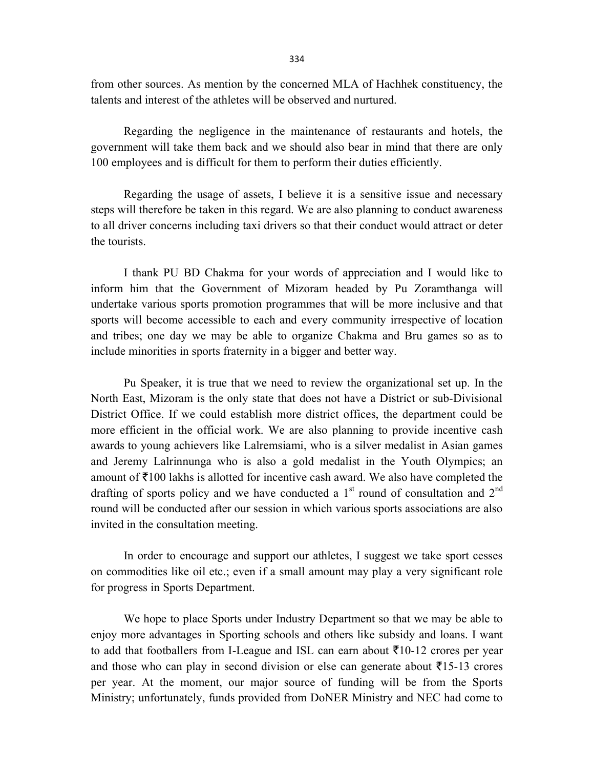from other sources. As mention by the concerned MLA of Hachhek constituency, the talents and interest of the athletes will be observed and nurtured.

 Regarding the negligence in the maintenance of restaurants and hotels, the government will take them back and we should also bear in mind that there are only 100 employees and is difficult for them to perform their duties efficiently.

 Regarding the usage of assets, I believe it is a sensitive issue and necessary steps will therefore be taken in this regard. We are also planning to conduct awareness to all driver concerns including taxi drivers so that their conduct would attract or deter the tourists.

 I thank PU BD Chakma for your words of appreciation and I would like to inform him that the Government of Mizoram headed by Pu Zoramthanga will undertake various sports promotion programmes that will be more inclusive and that sports will become accessible to each and every community irrespective of location and tribes; one day we may be able to organize Chakma and Bru games so as to include minorities in sports fraternity in a bigger and better way.

 Pu Speaker, it is true that we need to review the organizational set up. In the North East, Mizoram is the only state that does not have a District or sub-Divisional District Office. If we could establish more district offices, the department could be more efficient in the official work. We are also planning to provide incentive cash awards to young achievers like Lalremsiami, who is a silver medalist in Asian games and Jeremy Lalrinnunga who is also a gold medalist in the Youth Olympics; an amount of  $\bar{\tau}$ 100 lakhs is allotted for incentive cash award. We also have completed the drafting of sports policy and we have conducted a  $1<sup>st</sup>$  round of consultation and  $2<sup>nd</sup>$ round will be conducted after our session in which various sports associations are also invited in the consultation meeting.

 In order to encourage and support our athletes, I suggest we take sport cesses on commodities like oil etc.; even if a small amount may play a very significant role for progress in Sports Department.

 We hope to place Sports under Industry Department so that we may be able to enjoy more advantages in Sporting schools and others like subsidy and loans. I want to add that footballers from I-League and ISL can earn about  $\bar{\tau}$ 10-12 crores per year and those who can play in second division or else can generate about  $\bar{\tau}$ 15-13 crores per year. At the moment, our major source of funding will be from the Sports Ministry; unfortunately, funds provided from DoNER Ministry and NEC had come to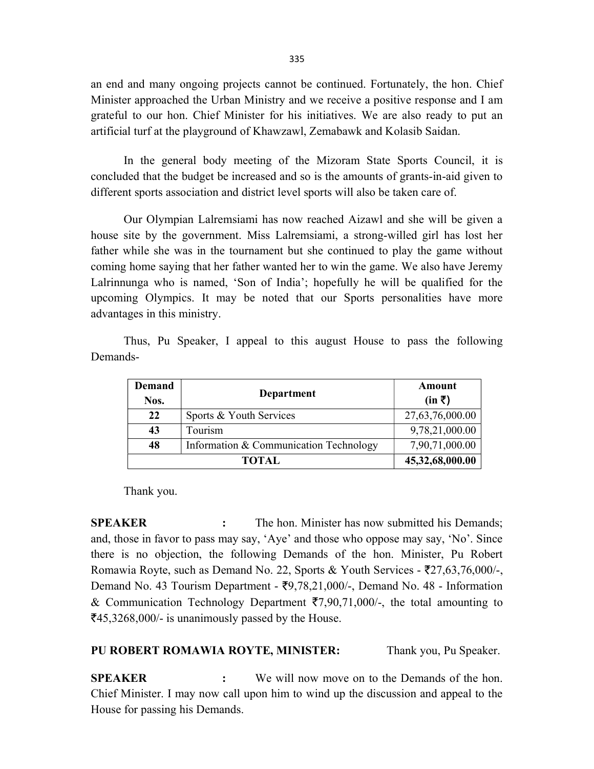an end and many ongoing projects cannot be continued. Fortunately, the hon. Chief Minister approached the Urban Ministry and we receive a positive response and I am grateful to our hon. Chief Minister for his initiatives. We are also ready to put an artificial turf at the playground of Khawzawl, Zemabawk and Kolasib Saidan.

 In the general body meeting of the Mizoram State Sports Council, it is concluded that the budget be increased and so is the amounts of grants-in-aid given to different sports association and district level sports will also be taken care of.

 Our Olympian Lalremsiami has now reached Aizawl and she will be given a house site by the government. Miss Lalremsiami, a strong-willed girl has lost her father while she was in the tournament but she continued to play the game without coming home saying that her father wanted her to win the game. We also have Jeremy Lalrinnunga who is named, 'Son of India'; hopefully he will be qualified for the upcoming Olympics. It may be noted that our Sports personalities have more advantages in this ministry.

| <b>Demand</b><br>Nos. | Department                             | Amount<br>$(in \bar{z})$ |
|-----------------------|----------------------------------------|--------------------------|
| 22                    | Sports & Youth Services                | 27,63,76,000.00          |
| 43                    | Tourism                                | 9,78,21,000.00           |
| 48                    | Information & Communication Technology | 7,90,71,000.00           |
|                       | <b>TOTAL</b>                           |                          |

 Thus, Pu Speaker, I appeal to this august House to pass the following Demands-

Thank you.

SPEAKER : The hon. Minister has now submitted his Demands; and, those in favor to pass may say, 'Aye' and those who oppose may say, 'No'. Since there is no objection, the following Demands of the hon. Minister, Pu Robert Romawia Royte, such as Demand No. 22, Sports & Youth Services -  $\overline{5}27,63,76,000/$ -, Demand No. 43 Tourism Department - ₹9,78,21,000/-, Demand No. 48 - Information & Communication Technology Department  $\overline{(}7,90,71,000/$ -, the total amounting to 45,3268,000/- is unanimously passed by the House.

### PU ROBERT ROMAWIA ROYTE, MINISTER: Thank you, Pu Speaker.

SPEAKER : We will now move on to the Demands of the hon. Chief Minister. I may now call upon him to wind up the discussion and appeal to the House for passing his Demands.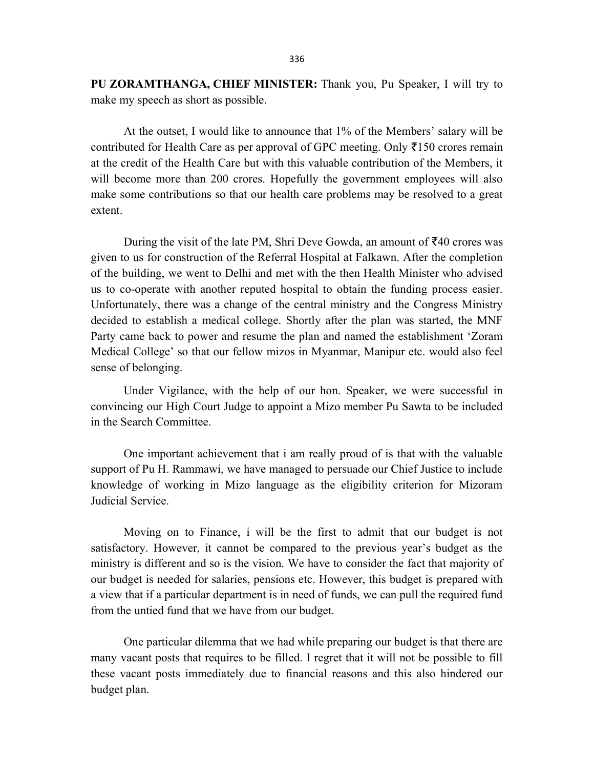PU ZORAMTHANGA, CHIEF MINISTER: Thank you, Pu Speaker, I will try to make my speech as short as possible.

 At the outset, I would like to announce that 1% of the Members' salary will be contributed for Health Care as per approval of GPC meeting. Only  $\bar{\xi}$ 150 crores remain at the credit of the Health Care but with this valuable contribution of the Members, it will become more than 200 crores. Hopefully the government employees will also make some contributions so that our health care problems may be resolved to a great extent.

During the visit of the late PM, Shri Deve Gowda, an amount of  $\overline{5}40$  crores was given to us for construction of the Referral Hospital at Falkawn. After the completion of the building, we went to Delhi and met with the then Health Minister who advised us to co-operate with another reputed hospital to obtain the funding process easier. Unfortunately, there was a change of the central ministry and the Congress Ministry decided to establish a medical college. Shortly after the plan was started, the MNF Party came back to power and resume the plan and named the establishment 'Zoram Medical College' so that our fellow mizos in Myanmar, Manipur etc. would also feel sense of belonging.

 Under Vigilance, with the help of our hon. Speaker, we were successful in convincing our High Court Judge to appoint a Mizo member Pu Sawta to be included in the Search Committee.

 One important achievement that i am really proud of is that with the valuable support of Pu H. Rammawi, we have managed to persuade our Chief Justice to include knowledge of working in Mizo language as the eligibility criterion for Mizoram Judicial Service.

 Moving on to Finance, i will be the first to admit that our budget is not satisfactory. However, it cannot be compared to the previous year's budget as the ministry is different and so is the vision. We have to consider the fact that majority of our budget is needed for salaries, pensions etc. However, this budget is prepared with a view that if a particular department is in need of funds, we can pull the required fund from the untied fund that we have from our budget.

 One particular dilemma that we had while preparing our budget is that there are many vacant posts that requires to be filled. I regret that it will not be possible to fill these vacant posts immediately due to financial reasons and this also hindered our budget plan.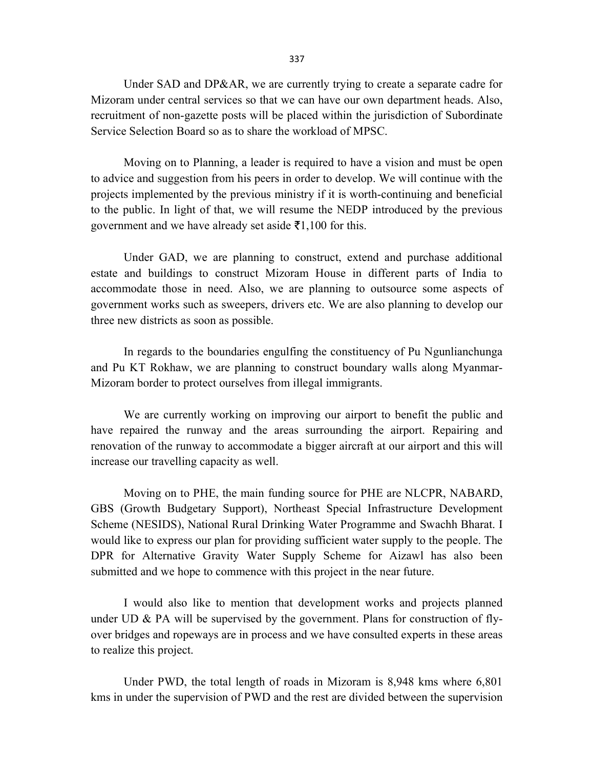337

 Under SAD and DP&AR, we are currently trying to create a separate cadre for Mizoram under central services so that we can have our own department heads. Also, recruitment of non-gazette posts will be placed within the jurisdiction of Subordinate Service Selection Board so as to share the workload of MPSC.

 Moving on to Planning, a leader is required to have a vision and must be open to advice and suggestion from his peers in order to develop. We will continue with the projects implemented by the previous ministry if it is worth-continuing and beneficial to the public. In light of that, we will resume the NEDP introduced by the previous government and we have already set aside  $\bar{\tau}$ 1,100 for this.

 Under GAD, we are planning to construct, extend and purchase additional estate and buildings to construct Mizoram House in different parts of India to accommodate those in need. Also, we are planning to outsource some aspects of government works such as sweepers, drivers etc. We are also planning to develop our three new districts as soon as possible.

 In regards to the boundaries engulfing the constituency of Pu Ngunlianchunga and Pu KT Rokhaw, we are planning to construct boundary walls along Myanmar-Mizoram border to protect ourselves from illegal immigrants.

 We are currently working on improving our airport to benefit the public and have repaired the runway and the areas surrounding the airport. Repairing and renovation of the runway to accommodate a bigger aircraft at our airport and this will increase our travelling capacity as well.

 Moving on to PHE, the main funding source for PHE are NLCPR, NABARD, GBS (Growth Budgetary Support), Northeast Special Infrastructure Development Scheme (NESIDS), National Rural Drinking Water Programme and Swachh Bharat. I would like to express our plan for providing sufficient water supply to the people. The DPR for Alternative Gravity Water Supply Scheme for Aizawl has also been submitted and we hope to commence with this project in the near future.

 I would also like to mention that development works and projects planned under UD & PA will be supervised by the government. Plans for construction of flyover bridges and ropeways are in process and we have consulted experts in these areas to realize this project.

 Under PWD, the total length of roads in Mizoram is 8,948 kms where 6,801 kms in under the supervision of PWD and the rest are divided between the supervision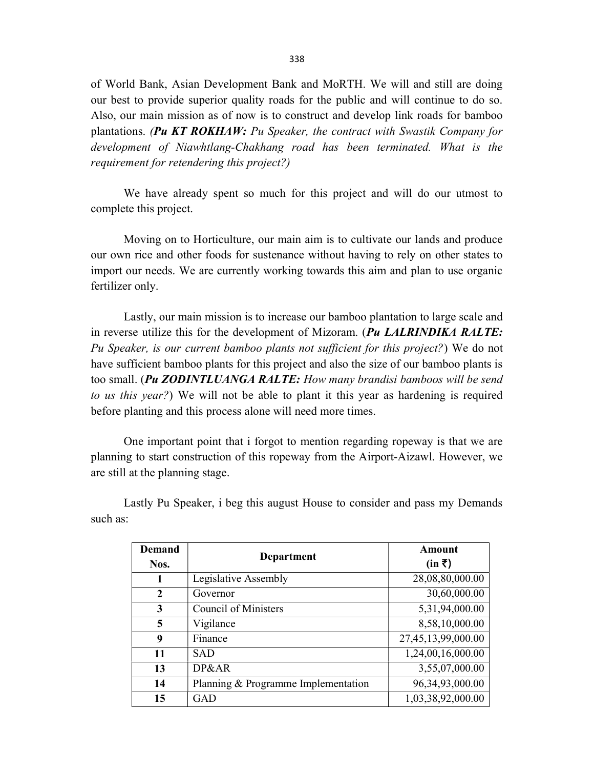of World Bank, Asian Development Bank and MoRTH. We will and still are doing our best to provide superior quality roads for the public and will continue to do so. Also, our main mission as of now is to construct and develop link roads for bamboo plantations. (Pu KT ROKHAW: Pu Speaker, the contract with Swastik Company for development of Niawhtlang-Chakhang road has been terminated. What is the requirement for retendering this project?)

 We have already spent so much for this project and will do our utmost to complete this project.

 Moving on to Horticulture, our main aim is to cultivate our lands and produce our own rice and other foods for sustenance without having to rely on other states to import our needs. We are currently working towards this aim and plan to use organic fertilizer only.

 Lastly, our main mission is to increase our bamboo plantation to large scale and in reverse utilize this for the development of Mizoram. (Pu LALRINDIKA RALTE: Pu Speaker, is our current bamboo plants not sufficient for this project?) We do not have sufficient bamboo plants for this project and also the size of our bamboo plants is too small. (Pu ZODINTLUANGA RALTE: How many brandisi bamboos will be send to us this year?) We will not be able to plant it this year as hardening is required before planting and this process alone will need more times.

 One important point that i forgot to mention regarding ropeway is that we are planning to start construction of this ropeway from the Airport-Aizawl. However, we are still at the planning stage.

| Demand<br>Nos. | <b>Department</b>                   | Amount<br>$(in \; \bar{\mathbf{\mathsf{z}}})$ |
|----------------|-------------------------------------|-----------------------------------------------|
|                | Legislative Assembly                | 28,08,80,000.00                               |
| $\mathbf{2}$   | Governor                            | 30,60,000.00                                  |
| 3              | <b>Council of Ministers</b>         | 5,31,94,000.00                                |
| 5              | Vigilance                           | 8,58,10,000.00                                |
| 9              | Finance                             | 27,45,13,99,000.00                            |
| 11             | <b>SAD</b>                          | 1,24,00,16,000.00                             |
| 13             | DP&AR                               | 3,55,07,000.00                                |
| 14             | Planning & Programme Implementation | 96,34,93,000.00                               |
| 15             | GAD                                 | 1,03,38,92,000.00                             |

 Lastly Pu Speaker, i beg this august House to consider and pass my Demands such as: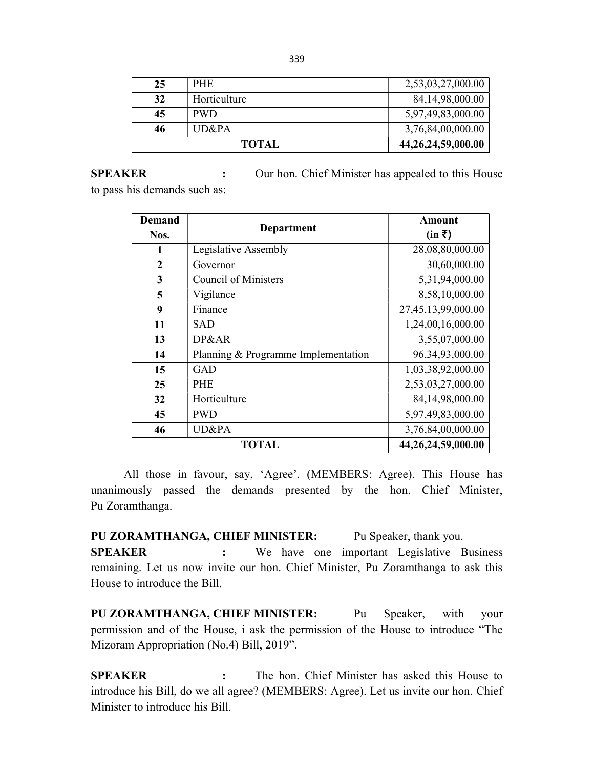| 25 | <b>PHE</b>   | 2,53,03,27,000.00  |
|----|--------------|--------------------|
| 32 | Horticulture | 84,14,98,000.00    |
| 45 | <b>PWD</b>   | 5,97,49,83,000.00  |
| 46 | UD&PA        | 3,76,84,00,000.00  |
|    | <b>TOTAL</b> | 44,26,24,59,000.00 |

# SPEAKER : Our hon. Chief Minister has appealed to this House

to pass his demands such as:

| <b>Demand</b><br>Nos. | Department                          | <b>Amount</b><br>$(in \bar{z})$ |
|-----------------------|-------------------------------------|---------------------------------|
| 1                     | Legislative Assembly                | 28,08,80,000.00                 |
| $\mathbf{2}$          | Governor                            | 30,60,000.00                    |
| 3                     | Council of Ministers                | 5,31,94,000.00                  |
| 5                     | Vigilance                           | 8,58,10,000.00                  |
| 9                     | Finance                             | 27,45,13,99,000.00              |
| 11                    | <b>SAD</b>                          | 1,24,00,16,000.00               |
| 13                    | DP&AR                               | 3,55,07,000.00                  |
| 14                    | Planning & Programme Implementation | 96,34,93,000.00                 |
| 15                    | <b>GAD</b>                          | 1,03,38,92,000.00               |
| 25                    | <b>PHE</b>                          | 2,53,03,27,000.00               |
| 32                    | Horticulture                        | 84,14,98,000.00                 |
| 45                    | <b>PWD</b>                          | 5,97,49,83,000.00               |
| 46                    | UD&PA                               | 3,76,84,00,000.00               |
|                       | <b>TOTAL</b>                        | 44,26,24,59,000.00              |

 All those in favour, say, 'Agree'. (MEMBERS: Agree). This House has unanimously passed the demands presented by the hon. Chief Minister, Pu Zoramthanga.

PU ZORAMTHANGA, CHIEF MINISTER: Pu Speaker, thank you. SPEAKER : We have one important Legislative Business remaining. Let us now invite our hon. Chief Minister, Pu Zoramthanga to ask this House to introduce the Bill.

PU ZORAMTHANGA, CHIEF MINISTER: Pu Speaker, with your permission and of the House, i ask the permission of the House to introduce "The Mizoram Appropriation (No.4) Bill, 2019".

SPEAKER : The hon. Chief Minister has asked this House to introduce his Bill, do we all agree? (MEMBERS: Agree). Let us invite our hon. Chief Minister to introduce his Bill.